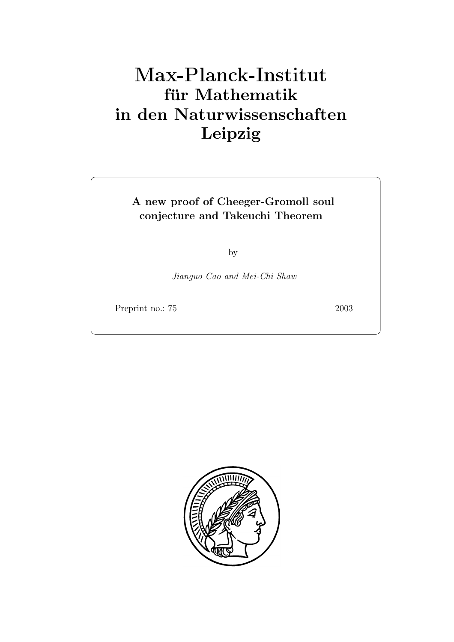# **für Mathematik in den Naturwissenschaften Leipzig**

## **A new proof of Cheeger-Gromoll soul conjecture and Takeuchi Theorem**

by

*Jianguo Cao and Mei-Chi Shaw*

Preprint no.: 75 2003

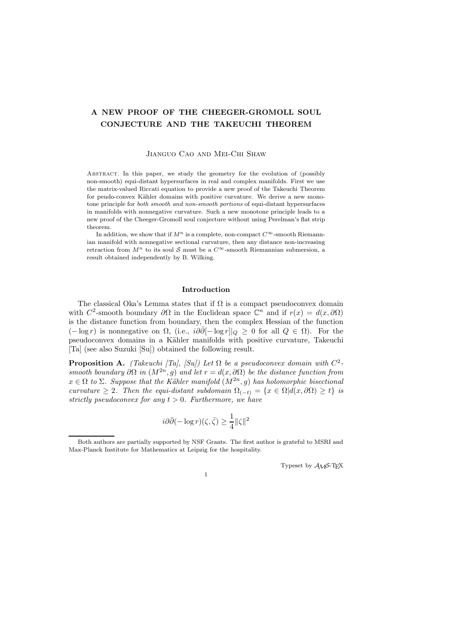### **A NEW PROOF OF THE CHEEGER-GROMOLL SOUL CONJECTURE AND THE TAKEUCHI THEOREM**

#### Jianguo Cao and Mei-Chi Shaw

Abstract. In this paper, we study the geometry for the evolution of (possibly non-smooth) equi-distant hypersurfaces in real and complex manifolds. First we use the matrix-valued Riccati equation to provide a new proof of the Takeuchi Theorem for peudo-convex Kähler domains with positive curvature. We derive a new monotone principle for both smooth and non-smooth portions of equi-distant hypersurfaces in manifolds with nonnegative curvature. Such a new monotone principle leads to a new proof of the Cheeger-Gromoll soul conjecture without using Perelman's flat strip theorem.

In addition, we show that if  $M^n$  is a complete, non-compact  $C^{\infty}$ -smooth Riemannian manifold with nonnegative sectional curvature, then any distance non-increasing retraction from  $M^n$  to its soul S must be a  $C^{\infty}$ -smooth Riemannian submersion, a result obtained independently by B. Wilking.

#### **Introduction**

The classical Oka's Lemma states that if  $\Omega$  is a compact pseudoconvex domain with C<sup>2</sup>-smooth boundary  $\partial\Omega$  in the Euclidean space  $\mathbb{C}^n$  and if  $r(x) = d(x, \partial\Omega)$ is the distance function from boundary, then the complex Hessian of the function  $(-\log r)$  is nonnegative on  $\Omega$ , (i.e.,  $i\partial\bar{\partial}[-\log r]_{\Omega} > 0$  for all  $Q \in \Omega$ ). For the pseudoconvex domains in a Kähler manifolds with positive curvature, Takeuchi [Ta] (see also Suzuki [Su]) obtained the following result.

**Proposition A.** *(Takeuchi [Ta], [Su])* Let  $\Omega$  be a pseudoconvex domain with  $C^2$ *smooth boundary*  $\partial\Omega$  *in*  $(M^{2n}, g)$  *and let*  $r = d(x, \partial\Omega)$  *be the distance function from*  $x \in \Omega$  *to*  $\Sigma$ *. Suppose that the Kähler manifold*  $(M^{2n}, g)$  *has holomorphic bisectional curvature*  $\geq 2$ *. Then the equi-distant subdomain*  $\Omega_{(-t)} = \{x \in \Omega | d(x, \partial \Omega) \geq t\}$  *is strictly pseudoconvex for any*  $t > 0$ *. Furthermore, we have* 

$$
i\partial\bar{\partial}(-\log r)(\zeta,\bar{\zeta}) \ge \frac{1}{4} \|\zeta\|^2
$$

Typeset by  $A_{\mathcal{M}}S$ -T<sub>F</sub>X

Both authors are partially supported by NSF Grants. The first author is grateful to MSRI and Max-Planck Institute for Mathematics at Leipzig for the hospitality.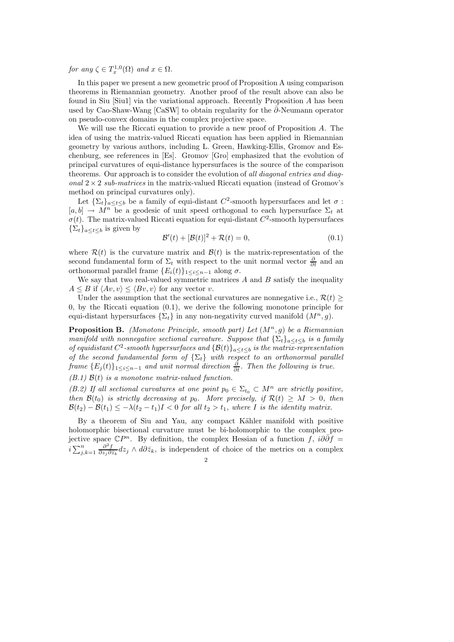*for any*  $\zeta \in T_x^{1,0}(\Omega)$  *and*  $x \in \Omega$ *.* 

In this paper we present a new geometric proof of Proposition A using comparison theorems in Riemannian geometry. Another proof of the result above can also be found in Siu [Siu1] via the variational approach. Recently Proposition  $A$  has been used by Cao-Shaw-Wang [CaSW] to obtain regularity for the  $\bar{\partial}$ -Neumann operator on pseudo-convex domains in the complex projective space.

We will use the Riccati equation to provide a new proof of Proposition A. The idea of using the matrix-valued Riccati equation has been applied in Riemannian geometry by various authors, including L. Green, Hawking-Ellis, Gromov and Eschenburg, see references in [Es]. Gromov [Gro] emphasized that the evolution of principal curvatures of equi-distance hypersurfaces is the source of the comparison theorems. Our approach is to consider the evolution of *all diagonal entries and diagonal* 2 × 2 *sub-matrices* in the matrix-valued Riccati equation (instead of Gromov's method on principal curvatures only).

Let  $\{\Sigma_t\}_{a \leq t \leq b}$  be a family of equi-distant  $C^2$ -smooth hypersurfaces and let  $\sigma$ :  $[a, b] \to M^n$  be a geodesic of unit speed orthogonal to each hypersurface  $\Sigma_t$  at  $\sigma(t)$ . The matrix-valued Riccati equation for equi-distant  $C^2$ -smooth hypersurfaces  $\{\Sigma_t\}_{a\leq t\leq b}$  is given by

$$
\mathcal{B}'(t) + [\mathcal{B}(t)]^2 + \mathcal{R}(t) = 0,\tag{0.1}
$$

where  $\mathcal{R}(t)$  is the curvature matrix and  $\mathcal{B}(t)$  is the matrix-representation of the second fundamental form of  $\Sigma_t$  with respect to the unit normal vector  $\frac{\partial}{\partial t}$  and an orthonormal parallel frame  ${E_i(t)}_{1\leq i \leq n-1}$  along  $\sigma$ .

We say that two real-valued symmetric matrices  $A$  and  $B$  satisfy the inequality  $A \leq B$  if  $\langle Av, v \rangle \leq \langle Bv, v \rangle$  for any vector v.

Under the assumption that the sectional curvatures are nonnegative i.e.,  $\mathcal{R}(t) \geq$ 0, by the Riccati equation (0.1), we derive the following monotone principle for equi-distant hypersurfaces  $\{\Sigma_t\}$  in any non-negativity curved manifold  $(M^n, q)$ .

**Proposition B.** *(Monotone Principle, smooth part) Let*  $(M^n, g)$  *be a Riemannian manifold with nonnegative sectional curvature. Suppose that*  $\{\Sigma_t\}_{a \leq t \leq b}$  *is a family of equidistant*  $C^2$ -smooth hypersurfaces and  $\{\mathcal{B}(t)\}_{a\leq t\leq b}$  *is the matrix-representation of the second fundamental form of*  $\{\Sigma_t\}$  *with respect to an orthonormal parallel frame*  ${E_j(t)}_1 \leq i \leq n-1$  *and unit normal direction*  $\frac{\partial}{\partial t}$ *. Then the following is true.* 

*(B.1)* B(t) *is a monotone matrix-valued function.*

*(B.2) If all sectional curvatures at one point*  $p_0 \in \Sigma_{t_0} \subset M^n$  *are strictly positive, then*  $\mathcal{B}(t_0)$  *is strictly decreasing at p<sub>0</sub>. More precisely, if*  $\mathcal{R}(t) \geq \lambda I > 0$ *, then*  $\mathcal{B}(t_2) - \mathcal{B}(t_1) \leq -\lambda(t_2 - t_1)I < 0$  for all  $t_2 > t_1$ , where I is the identity matrix.

By a theorem of Siu and Yau, any compact Kähler manifold with positive holomorphic bisectional curvature must be bi-holomorphic to the complex projective space  $\mathbb{C}P^n$ . By definition, the complex Hessian of a function f,  $i\partial\bar{\partial}f=$  $i\sum_{j,k=1}^n\frac{\partial^2 f}{\partial z_j\partial \bar{z}_k}dz_j\wedge d\partial \bar{z}_k$ , is independent of choice of the metrics on a complex

 $\overline{2}$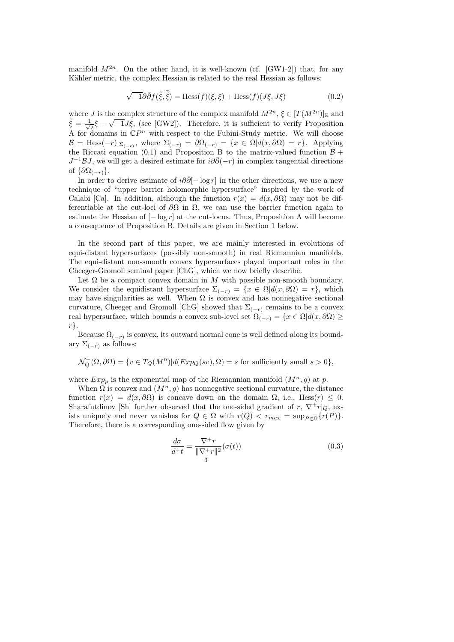manifold  $M^{2n}$ . On the other hand, it is well-known (cf. [GW1-2]) that, for any Kähler metric, the complex Hessian is related to the real Hessian as follows:

$$
\sqrt{-1}\partial\bar{\partial}f(\tilde{\xi},\bar{\tilde{\xi}}) = \text{Hess}(f)(\xi,\xi) + \text{Hess}(f)(J\xi,J\xi)
$$
(0.2)

where J is the complex structure of the complex manifold  $M^{2n}, \xi \in [T(M^{2n})]_{\mathbb{R}}$  and where *J* is the complex structure of the complex manifold  $M$ ,  $\zeta \in [I(M)]$  and  $\tilde{\zeta} = \frac{1}{\sqrt{2}} \xi - \sqrt{-1} J \xi$ , (see [GW2]). Therefore, it is sufficient to verify Proposition A for domains in  $\mathbb{C}P^n$  with respect to the Fubini-Study metric. We will choose  $\mathcal{B} = \text{Hess}(-r)|_{\Sigma(-r)}$ , where  $\Sigma(-r) = \partial \Omega(-r) = \{x \in \Omega | d(x, \partial \Omega) = r\}$ . Applying the Riccati equation (0.1) and Proposition B to the matrix-valued function  $\mathcal{B}$  +  $J^{-1}\mathcal{B}J$ , we will get a desired estimate for  $i\partial\bar{\partial}(-r)$  in complex tangential directions of  $\{\partial\Omega_{(-r)}\}.$ 

In order to derive estimate of  $i\partial \bar{\partial}$ [− log r] in the other directions, we use a new technique of "upper barrier holomorphic hypersurface" inspired by the work of Calabi [Ca]. In addition, although the function  $r(x) = d(x, \partial\Omega)$  may not be differentiable at the cut-loci of  $\partial\Omega$  in  $\Omega$ , we can use the barrier function again to estimate the Hessian of  $[-\log r]$  at the cut-locus. Thus, Proposition A will become a consequence of Proposition B. Details are given in Section 1 below.

In the second part of this paper, we are mainly interested in evolutions of equi-distant hypersurfaces (possibly non-smooth) in real Riemannian manifolds. The equi-distant non-smooth convex hypersurfaces played important roles in the Cheeger-Gromoll seminal paper [ChG], which we now briefly describe.

Let  $\Omega$  be a compact convex domain in M with possible non-smooth boundary. We consider the equidistant hypersurface  $\Sigma_{(-r)} = \{x \in \Omega | d(x, \partial \Omega) = r\}$ , which may have singularities as well. When  $\Omega$  is convex and has nonnegative sectional curvature, Cheeger and Gromoll [ChG] showed that  $\Sigma_{(-r)}$  remains to be a convex real hypersurface, which bounds a convex sub-level set  $\Omega_{(-r)} = \{x \in \Omega | d(x, \partial \Omega) \geq$  $r$ .

Because  $\Omega_{(-r)}$  is convex, its outward normal cone is well defined along its boundary  $\Sigma_{(-r)}$  as follows:

$$
\mathcal{N}_Q^+(\Omega, \partial \Omega) = \{ v \in T_Q(M^n) | d(\text{Exp}_Q(sv), \Omega) = s \text{ for sufficiently small } s > 0 \},
$$

where  $Exp_p$  is the exponential map of the Riemannian manifold  $(M^n, g)$  at p.

When  $\Omega$  is convex and  $(M^n, g)$  has nonnegative sectional curvature, the distance function  $r(x) = d(x, \partial \Omega)$  is concave down on the domain  $\Omega$ , i.e., Hess $(r) \leq 0$ . Sharafutdinov [Sh] further observed that the one-sided gradient of r,  $\nabla^+ r|_Q$ , exists uniquely and never vanishes for  $Q \in \Omega$  with  $r(Q) < r_{max} = \sup_{P \in \Omega} \{r(P)\}.$ Therefore, there is a corresponding one-sided flow given by

$$
\frac{d\sigma}{d^+t} = \frac{\nabla^+ r}{\|\nabla^+ r\|^2} (\sigma(t))\tag{0.3}
$$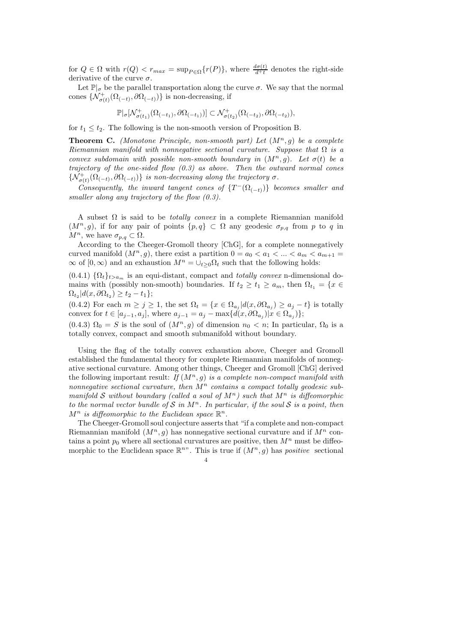for  $Q \in \Omega$  with  $r(Q) < r_{max} = \sup_{P \in \Omega} \{r(P)\}\$ , where  $\frac{d\sigma(t)}{d^+t}$  denotes the right-side derivative of the curve  $\sigma$ .

Let  $\mathbb{P}|_{\sigma}$  be the parallel transportation along the curve  $\sigma$ . We say that the normal cones  $\{\mathcal{N}^+_{\sigma(t)}(\Omega_{(-t)}, \partial \Omega_{(-t)})\}$  is non-decreasing, if

$$
\mathbb{P}|_{\sigma}[\mathcal{N}_{\sigma(t_1)}^+(\Omega_{(-t_1)},\partial \Omega_{(-t_1)})] \subset \mathcal{N}_{\sigma(t_2)}^+(\Omega_{(-t_2)},\partial \Omega_{(-t_2)}),
$$

for  $t_1 \leq t_2$ . The following is the non-smooth version of Proposition B.

**Theorem C.** *(Monotone Principle, non-smooth part) Let*  $(M^n, q)$  *be a complete Riemannian manifold with nonnegative sectional curvature. Suppose that*  $\Omega$  *is a convex subdomain with possible non-smooth boundary in*  $(M^n, g)$ *. Let*  $\sigma(t)$  *be a trajectory of the one-sided flow (0.3) as above. Then the outward normal cones*  $\{\mathcal{N}^+_{\sigma(t)}(\Omega_{(-t)}, \partial \Omega_{(-t)})\}$  *is non-decreasing along the trajectory*  $\sigma$ *.* 

*Consequently, the inward tangent cones of*  $\{T^{-}(\Omega_{(-t)})\}$  *becomes smaller and smaller along any trajectory of the flow (0.3).*

A subset Ω is said to be *totally convex* in a complete Riemannian manifold  $(M^n, g)$ , if for any pair of points  $\{p, q\} \subset \Omega$  any geodesic  $\sigma_{p,q}$  from p to q in  $M^n$ , we have  $\sigma_{p,q} \subset \Omega$ .

According to the Cheeger-Gromoll theory [ChG], for a complete nonnegatively curved manifold  $(M^n, g)$ , there exist a partition  $0 = a_0 < a_1 < ... < a_m < a_{m+1}$  $\infty$  of  $[0, \infty)$  and an exhaustion  $M^n = \bigcup_{t>0} \Omega_t$  such that the following holds:

 $(0.4.1) \{\Omega_t\}_{t>a_m}$  is an equi-distant, compact and *totally convex* n-dimensional domains with (possibly non-smooth) boundaries. If  $t_2 \geq t_1 \geq a_m$ , then  $\Omega_{t_1} = \{x \in$  $\Omega_{t_2} |d(x, \partial \Omega_{t_2}) \geq t_2 - t_1\};$ 

(0.4.2) For each  $m \ge j \ge 1$ , the set  $\Omega_t = \{x \in \Omega_{a_i} | d(x, \partial \Omega_{a_i}) \ge a_j - t\}$  is totally convex for  $t \in [a_{i-1}, a_i]$ , where  $a_{i-1} = a_i - \max\{d(x, \partial \Omega_{a_i}) | x \in \Omega_{a_i}\}\;;$ 

 $(0.4.3)$   $\Omega_0 = S$  is the soul of  $(M^n, g)$  of dimension  $n_0 < n$ ; In particular,  $\Omega_0$  is a totally convex, compact and smooth submanifold without boundary.

Using the flag of the totally convex exhaustion above, Cheeger and Gromoll established the fundamental theory for complete Riemannian manifolds of nonnegative sectional curvature. Among other things, Cheeger and Gromoll [ChG] derived the following important result: If  $(M^n, g)$  is a complete non-compact manifold with *nonnegative sectional curvature, then*  $M^n$  *contains a compact totally geodesic submanifold* S without boundary (called a soul of  $M^n$ ) such that  $M^n$  is diffeomorphic *to the normal vector bundle of*  $S$  *in*  $M<sup>n</sup>$ *. In particular, if the soul*  $S$  *is a point, then*  $M^n$  *is diffeomorphic to the Euclidean space*  $\mathbb{R}^n$ .

The Cheeger-Gromoll soul conjecture asserts that "if a complete and non-compact Riemannian manifold  $(M^n, q)$  has nonnegative sectional curvature and if  $M^n$  contains a point  $p_0$  where all sectional curvatures are positive, then  $M^n$  must be diffeomorphic to the Euclidean space  $\mathbb{R}^{n}$ . This is true if  $(M^{n}, g)$  has *positive* sectional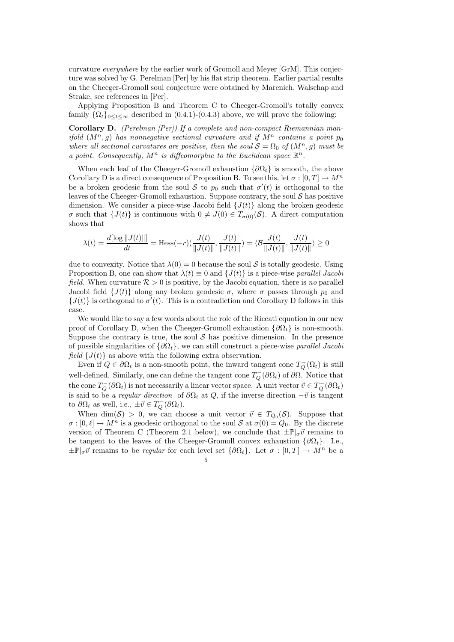curvature *everywhere* by the earlier work of Gromoll and Meyer [GrM]. This conjecture was solved by G. Perelman [Per] by his flat strip theorem. Earlier partial results on the Cheeger-Gromoll soul conjecture were obtained by Marenich, Walschap and Strake, see references in [Per].

Applying Proposition B and Theorem C to Cheeger-Gromoll's totally convex family  $\{\Omega_t\}_{0 \leq t \leq \infty}$  described in (0.4.1)-(0.4.3) above, we will prove the following:

**Corollary D.** *(Perelman [Per]) If a complete and non-compact Riemannian manifold*  $(M^n, q)$  *has nonnegative sectional curvature and if*  $M^n$  *contains a point*  $p_0$ *where all sectional curvatures are positive, then the soul*  $S = \Omega_0$  *of*  $(M^n, g)$  *must be a point. Consequently,*  $M^n$  *is diffeomorphic to the Euclidean space*  $\mathbb{R}^n$ .

When each leaf of the Cheeger-Gromoll exhaustion  $\{\partial\Omega_t\}$  is smooth, the above Corollary D is a direct consequence of Proposition B. To see this, let  $\sigma : [0, T] \to M^n$ be a broken geodesic from the soul  $S$  to  $p_0$  such that  $\sigma'(t)$  is orthogonal to the leaves of the Cheeger-Gromoll exhaustion. Suppose contrary, the soul  $\mathcal S$  has positive dimension. We consider a piece-wise Jacobi field  $\{J(t)\}\$ along the broken geodesic  $\sigma$  such that  $\{J(t)\}\$ is continuous with  $0 \neq J(0) \in T_{\sigma(0)}(\mathcal{S})$ . A direct computation shows that

$$
\lambda(t) = \frac{d[\log ||J(t)||]}{dt} = \text{Hess}(-r)\left(\frac{J(t)}{\|J(t)\|}, \frac{J(t)}{\|J(t)\|}\right) = \langle \mathcal{B}\frac{J(t)}{\|J(t)\|}, \frac{J(t)}{\|J(t)\|}\rangle \ge 0
$$

due to convexity. Notice that  $\lambda(0) = 0$  because the soul S is totally geodesic. Using Proposition B, one can show that  $\lambda(t) \equiv 0$  and  $\{J(t)\}\$ is a piece-wise *parallel Jacobi field.* When curvature  $\mathcal{R} > 0$  is positive, by the Jacobi equation, there is *no* parallel Jacobi field  $\{J(t)\}\$ along any broken geodesic  $\sigma$ , where  $\sigma$  passes through  $p_0$  and  $\{J(t)\}\$ is orthogonal to  $\sigma'(t)$ . This is a contradiction and Corollary D follows in this case.

We would like to say a few words about the role of the Riccati equation in our new proof of Corollary D, when the Cheeger-Gromoll exhaustion  $\{\partial\Omega_t\}$  is non-smooth. Suppose the contrary is true, the soul  $S$  has positive dimension. In the presence of possible singularities of {∂Ωt}, we can still construct a piece-wise *parallel Jacobi field*  $\{J(t)\}\$ as above with the following extra observation.

Even if  $Q \in \partial \Omega_t$  is a non-smooth point, the inward tangent cone  $T_Q^-(\Omega_t)$  is still well-defined. Similarly, one can define the tangent cone  $T_Q^-(\partial\Omega_t)$  of  $\partial\Omega$ . Notice that the cone  $T_Q^-(\partial\Omega_t)$  is not necessarily a linear vector space. A unit vector  $\vec{v}\in T_Q^-(\partial\Omega_t)$ is said to be *a regular direction* of  $\partial\Omega_t$  at  $Q$ , if the inverse direction  $-\vec{v}$  is tangent to  $\partial\Omega_t$  as well, i.e.,  $\pm \vec{v} \in T_Q^-(\partial\Omega_t)$ .

When dim(S) > 0, we can choose a unit vector  $\vec{v} \in T_{Q_0}(S)$ . Suppose that  $\sigma : [0, \ell] \to M^n$  is a geodesic orthogonal to the soul S at  $\sigma(0) = Q_0$ . By the discrete version of Theorem C (Theorem 2.1 below), we conclude that  $\pm \mathbb{P}|\sigma \vec{v}$  remains to be tangent to the leaves of the Cheeger-Gromoll convex exhaustion  $\{\partial\Omega_t\}$ . I.e.,  $\pm \mathbb{P}$ |<sub>σ</sub> $\vec{v}$  remains to be *regular* for each level set  $\{\partial \Omega_t\}$ . Let  $\sigma : [0, T] \to M^n$  be a 5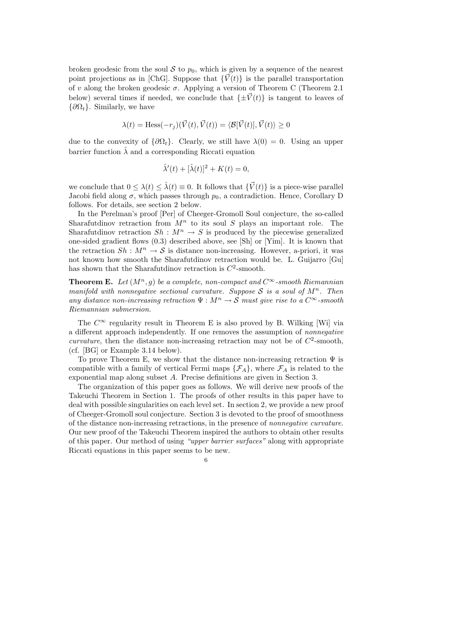broken geodesic from the soul  $S$  to  $p_0$ , which is given by a sequence of the nearest point projections as in [ChG]. Suppose that  $\{\vec{V}(t)\}\$ is the parallel transportation of v along the broken geodesic  $\sigma$ . Applying a version of Theorem C (Theorem 2.1) below) several times if needed, we conclude that  $\{\pm \vec{V}(t)\}\$ is tangent to leaves of  $\{\partial\Omega_t\}$ . Similarly, we have

$$
\lambda(t) = \text{Hess}(-r_j)(\vec{V}(t), \vec{V}(t)) = \langle \mathcal{B}[\vec{V}(t)], \vec{V}(t) \rangle \ge 0
$$

due to the convexity of  $\{\partial\Omega_t\}$ . Clearly, we still have  $\lambda(0) = 0$ . Using an upper barrier function  $\lambda$  and a corresponding Riccati equation

$$
\hat{\lambda}'(t) + [\hat{\lambda}(t)]^2 + K(t) = 0,
$$

we conclude that  $0 \leq \lambda(t) \leq \hat{\lambda}(t) \equiv 0$ . It follows that  $\{\vec{V}(t)\}\)$  is a piece-wise parallel Jacobi field along  $\sigma$ , which passes through  $p_0$ , a contradiction. Hence, Corollary D follows. For details, see section 2 below.

In the Perelman's proof [Per] of Cheeger-Gromoll Soul conjecture, the so-called Sharafutdinov retraction from  $M<sup>n</sup>$  to its soul S plays an important role. The Sharafutdinov retraction  $Sh : M^n \to S$  is produced by the piecewise generalized one-sided gradient flows (0.3) described above, see [Sh] or [Yim]. It is known that the retraction  $Sh : M^n \to S$  is distance non-increasing. However, a-priori, it was not known how smooth the Sharafutdinov retraction would be. L. Guijarro [Gu] has shown that the Sharafutdinov retraction is  $C^2\operatorname{-smooth}.$ 

**Theorem E.** Let  $(M^n, g)$  be a complete, non-compact and  $C^{\infty}$ -smooth Riemannian *manifold with nonnegative sectional curvature. Suppose*  $S$  *is a soul of*  $M<sup>n</sup>$ *. Then any distance non-increasing retraction*  $\Psi : M^n \to S$  *must give rise to a*  $C^{\infty}$ *-smooth Riemannian submersion.*

The  $C^{\infty}$  regularity result in Theorem E is also proved by B. Wilking [Wi] via a different approach independently. If one removes the assumption of *nonnegative curvature*, then the distance non-increasing retraction may not be of  $C^2$ -smooth, (cf. [BG] or Example 3.14 below).

To prove Theorem E, we show that the distance non-increasing retraction  $\Psi$  is compatible with a family of vertical Fermi maps  $\{\mathcal{F}_A\}$ , where  $\mathcal{F}_A$  is related to the exponential map along subset A. Precise definitions are given in Section 3.

The organization of this paper goes as follows. We will derive new proofs of the Takeuchi Theorem in Section 1. The proofs of other results in this paper have to deal with possible singularities on each level set. In section 2, we provide a new proof of Cheeger-Gromoll soul conjecture. Section 3 is devoted to the proof of smoothness of the distance non-increasing retractions, in the presence of *nonnegative curvature*. Our new proof of the Takeuchi Theorem inspired the authors to obtain other results of this paper. Our method of using *"upper barrier surfaces"* along with appropriate Riccati equations in this paper seems to be new.

$$
^{6}
$$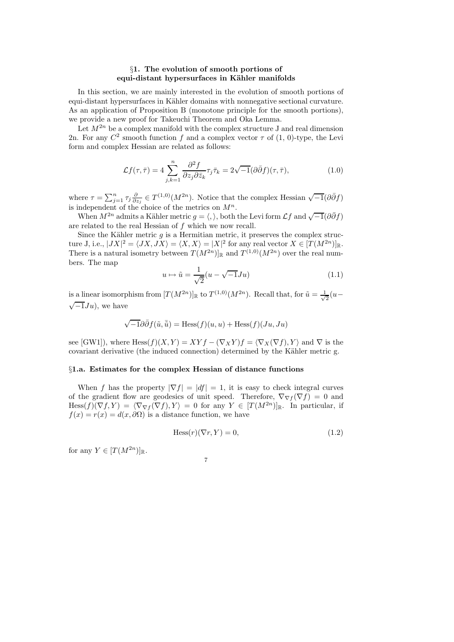#### §**1. The evolution of smooth portions of equi-distant hypersurfaces in K¨ahler manifolds**

In this section, we are mainly interested in the evolution of smooth portions of equi-distant hypersurfaces in Kähler domains with nonnegative sectional curvature. As an application of Proposition B (monotone principle for the smooth portions), we provide a new proof for Takeuchi Theorem and Oka Lemma.

Let  $M^{2n}$  be a complex manifold with the complex structure J and real dimension 2n. For any  $C^2$  smooth function f and a complex vector  $\tau$  of (1, 0)-type, the Levi form and complex Hessian are related as follows:

$$
\mathcal{L}f(\tau,\bar{\tau}) = 4 \sum_{j,k=1}^{n} \frac{\partial^2 f}{\partial z_j \partial \bar{z}_k} \tau_j \bar{\tau}_k = 2\sqrt{-1} (\partial \bar{\partial} f)(\tau,\bar{\tau}), \tag{1.0}
$$

where  $\tau = \sum_{j=1}^n \tau_j \frac{\partial}{\partial z_j} \in T^{(1,0)}(M^{2n})$ . Notice that the complex Hessian  $\sqrt{-1}(\partial \bar{\partial} f)$ is independent of the choice of the metrics on  $M^n$ .

When  $M^{2n}$  admits a Kähler metric  $q = \langle , \rangle$ , both the Levi form  $\mathcal{L}f$  and  $\sqrt{-1}(\partial \bar{\partial}f)$ are related to the real Hessian of f which we now recall.

Since the Kähler metric  $g$  is a Hermitian metric, it preserves the complex structure J, i.e.,  $|JX|^2 = \langle JX, JX \rangle = \langle X, X \rangle = |X|^2$  for any real vector  $X \in [T(M^{2n})]_{\mathbb{R}}$ . There is a natural isometry between  $T(M^{2n})\vert_{\mathbb{R}}$  and  $T^{(1,0)}(M^{2n})$  over the real numbers. The map

$$
u \mapsto \tilde{u} = \frac{1}{\sqrt{2}} (u - \sqrt{-1}Ju)
$$
\n(1.1)

is a linear isomorphism from  $[T(M^{2n})]$ <sub>R</sub> to  $T^{(1,0)}(M^{2n})$ . Recall that, for  $\tilde{u} = \frac{1}{\sqrt{2}}(u - \sqrt{-1}Ju)$ , we have

$$
\sqrt{-1}\partial\bar{\partial}f(\tilde{u}, \bar{\tilde{u}}) = \text{Hess}(f)(u, u) + \text{Hess}(f)(Ju, Ju)
$$

see [GW1]), where  $Hess(f)(X, Y) = XYf - (\nabla_X Y)f = \langle \nabla_X (\nabla f), Y \rangle$  and  $\nabla$  is the covariant derivative (the induced connection) determined by the Kähler metric g.

#### §**1.a. Estimates for the complex Hessian of distance functions**

When f has the property  $|\nabla f| = |df| = 1$ , it is easy to check integral curves of the gradient flow are geodesics of unit speed. Therefore,  $\nabla_{\nabla f}(\nabla f) = 0$  and Hess $(f)(\nabla f, Y) = \langle \nabla_{\nabla f}(\nabla f), Y \rangle = 0$  for any  $Y \in [T(M^{2n})]_{\mathbb{R}}$ . In particular, if  $f(x) = r(x) = d(x, \partial\Omega)$  is a distance function, we have

$$
\text{Hess}(r)(\nabla r, Y) = 0,\tag{1.2}
$$

for any  $Y \in [T(M^{2n})]_{\mathbb{R}}$ .

$$
\overline{7}
$$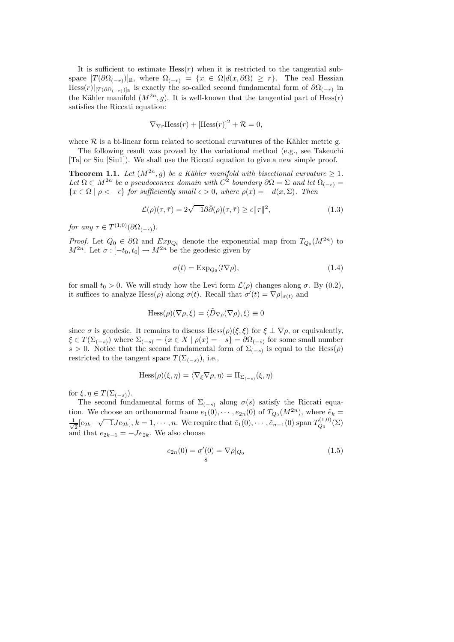It is sufficient to estimate  $Hess(r)$  when it is restricted to the tangential subspace  $[T(\partial\Omega_{(-r)})]_{\mathbb{R}}$ , where  $\Omega_{(-r)} = \{x \in \Omega | d(x, \partial\Omega) \geq r\}$ . The real Hessian Hess $(r)|_{[T(\partial\Omega_{(-r)})]_{{\mathbb R}}}$  is exactly the so-called second fundamental form of  $\partial\Omega_{(-r)}$  in the Kähler manifold  $(M^{2n}, q)$ . It is well-known that the tangential part of Hess(r) satisfies the Riccati equation:

$$
\nabla_{\nabla r} \text{Hess}(r) + [\text{Hess}(r)]^2 + \mathcal{R} = 0,
$$

where  $R$  is a bi-linear form related to sectional curvatures of the Kähler metric g.

The following result was proved by the variational method (e.g., see Takeuchi [Ta] or Siu [Siu1]). We shall use the Riccati equation to give a new simple proof.

**Theorem 1.1.** *Let*  $(M^{2n}, g)$  *be a Kähler manifold with bisectional curvature*  $\geq 1$ *.* Let  $\Omega \subset M^{2n}$  *be a pseudoconvex domain with*  $C^2$  *boundary*  $\partial \Omega = \Sigma$  *and let*  $\Omega_{(-\epsilon)} =$  ${x \in \Omega \mid \rho < -\epsilon}$  for sufficiently small  $\epsilon > 0$ , where  $\rho(x) = -d(x, \Sigma)$ . Then

$$
\mathcal{L}(\rho)(\tau,\bar{\tau}) = 2\sqrt{-1}\partial\bar{\partial}(\rho)(\tau,\bar{\tau}) \ge \epsilon \|\tau\|^2, \tag{1.3}
$$

*for any*  $\tau \in T^{(1,0)}(\partial \Omega_{(-\epsilon)}).$ 

*Proof.* Let  $Q_0 \in \partial\Omega$  and  $Exp_{Q_0}$  denote the exponential map from  $T_{Q_0}(M^{2n})$  to  $M^{2n}$ . Let  $\sigma : [-t_0, t_0] \to M^{2n}$  be the geodesic given by

$$
\sigma(t) = \text{Exp}_{Q_0}(t\nabla \rho),\tag{1.4}
$$

for small  $t_0 > 0$ . We will study how the Levi form  $\mathcal{L}(\rho)$  changes along  $\sigma$ . By (0.2), it suffices to analyze Hess( $\rho$ ) along  $\sigma(t)$ . Recall that  $\sigma'(t) = \nabla \rho|_{\sigma(t)}$  and

$$
\text{Hess}(\rho)(\nabla \rho, \xi) = \langle \tilde{D}_{\nabla \rho}(\nabla \rho), \xi \rangle \equiv 0
$$

since  $\sigma$  is geodesic. It remains to discuss Hess $(\rho)(\xi, \xi)$  for  $\xi \perp \nabla \rho$ , or equivalently,  $\xi \in T(\Sigma_{(-s)})$  where  $\Sigma_{(-s)} = \{x \in X \mid \rho(x) = -s\} = \partial \Omega_{(-s)}$  for some small number s > 0. Notice that the second fundamental form of  $\Sigma_{(-s)}$  is equal to the Hess $(\rho)$ restricted to the tangent space  $T(\Sigma_{(-s)})$ , i.e.,

$$
\mathrm{Hess}(\rho)(\xi,\eta)=\langle\nabla_{\xi}\nabla\rho,\eta\rangle=\Pi_{\Sigma_{(-s)}}(\xi,\eta)
$$

for  $\xi, \eta \in T(\Sigma_{(-s)})$ .

The second fundamental forms of  $\Sigma_{(-s)}$  along  $\sigma(s)$  satisfy the Riccati equation. We choose an orthonormal frame  $e_1(0), \cdots, e_{2n}(0)$  of  $T_{Q_0}(M^{2n})$ , where  $\tilde{e}_k =$  $\frac{1}{\sqrt{2}}[e_{2k}-\sqrt{-1}Je_{2k}], k = 1, \cdots, n.$  We require that  $\tilde{e}_1(0), \cdots, \tilde{e}_{n-1}(0)$  span  $T_{Q_0}^{(1,0)}(\Sigma)$ and that  $e_{2k-1} = -Je_{2k}$ . We also choose

$$
e_{2n}(0) = \sigma'(0) = \nabla \rho|_{Q_0}
$$
\n(1.5)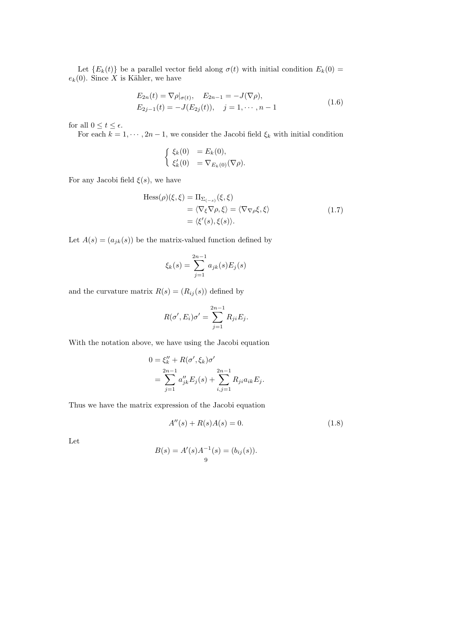Let  ${E_k(t)}$  be a parallel vector field along  $\sigma(t)$  with initial condition  $E_k(0) =$  $e_k(0)$ . Since X is Kähler, we have

$$
E_{2n}(t) = \nabla \rho|_{\sigma(t)}, \quad E_{2n-1} = -J(\nabla \rho),
$$
  
\n
$$
E_{2j-1}(t) = -J(E_{2j}(t)), \quad j = 1, \cdots, n-1
$$
\n(1.6)

for all  $0 \le t \le \epsilon$ .

For each  $k = 1, \dots, 2n - 1$ , we consider the Jacobi field  $\xi_k$  with initial condition

$$
\begin{cases} \xi_k(0) &= E_k(0), \\ \xi'_k(0) &= \nabla_{E_k(0)}(\nabla \rho). \end{cases}
$$

For any Jacobi field  $\xi(s)$ , we have

$$
\begin{aligned} \text{Hess}(\rho)(\xi,\xi) &= \Pi_{\Sigma_{(-s)}}(\xi,\xi) \\ &= \langle \nabla_{\xi} \nabla \rho, \xi \rangle = \langle \nabla_{\nabla \rho} \xi, \xi \rangle \\ &= \langle \xi'(s), \xi(s) \rangle. \end{aligned} \tag{1.7}
$$

Let  $A(s)=(a_{jk}(s))$  be the matrix-valued function defined by

$$
\xi_k(s) = \sum_{j=1}^{2n-1} a_{jk}(s) E_j(s)
$$

and the curvature matrix  $R(s)=(R_{ij}(s))$  defined by

$$
R(\sigma', E_i)\sigma' = \sum_{j=1}^{2n-1} R_{ji} E_j.
$$

With the notation above, we have using the Jacobi equation

$$
0 = \xi_k'' + R(\sigma', \xi_k)\sigma'
$$
  
= 
$$
\sum_{j=1}^{2n-1} a_{jk}'' E_j(s) + \sum_{i,j=1}^{2n-1} R_{ji} a_{ik} E_j.
$$

Thus we have the matrix expression of the Jacobi equation

$$
A''(s) + R(s)A(s) = 0.
$$
\n(1.8)

Let

$$
B(s) = A'(s)A^{-1}(s) = (b_{ij}(s)).
$$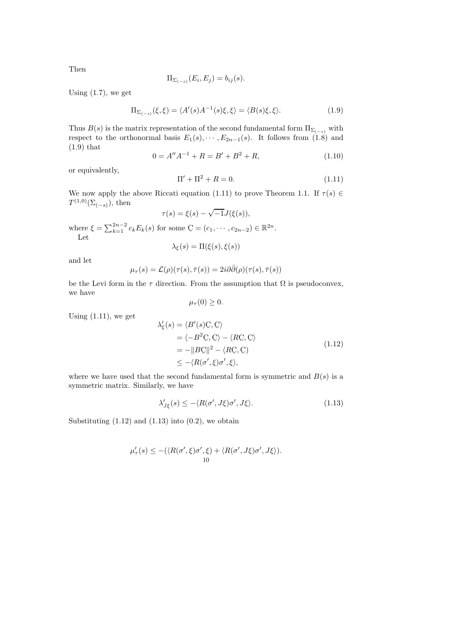Then

$$
\Pi_{\Sigma_{(-s)}}(E_i, E_j) = b_{ij}(s).
$$

Using  $(1.7)$ , we get

$$
\Pi_{\Sigma_{(-s)}}(\xi,\xi) = \langle A'(s)A^{-1}(s)\xi,\xi \rangle = \langle B(s)\xi,\xi \rangle. \tag{1.9}
$$

Thus  $B(s)$  is the matrix representation of the second fundamental form  $\Pi_{\Sigma_{(-s)}}$  with respect to the orthonormal basis  $E_1(s), \cdots, E_{2n-1}(s)$ . It follows from (1.8) and (1.9) that

$$
0 = A''A^{-1} + R = B' + B^2 + R,\tag{1.10}
$$

or equivalently,

$$
\Pi' + \Pi^2 + R = 0.
$$
\n(1.11)

We now apply the above Riccati equation (1.11) to prove Theorem 1.1. If  $\tau(s) \in$  $T^{(1,0)}(\Sigma_{(-s)}),$  then  $\tau(s) = \xi(s) - \sqrt{-1}J(\xi(s)),$ 

where 
$$
\xi = \sum_{k=1}^{2n-2} c_k E_k(s)
$$
 for some  $C = (c_1, \dots, c_{2n-2}) \in \mathbb{R}^{2n}$ .  
Let

$$
\lambda_{\xi}(s) = \Pi(\xi(s), \xi(s))
$$

and let

$$
\mu_{\tau}(s) = \mathcal{L}(\rho)(\tau(s), \bar{\tau}(s)) = 2i\partial\bar{\partial}(\rho)(\tau(s), \bar{\tau}(s))
$$

be the Levi form in the  $\tau$  direction. From the assumption that  $\Omega$  is pseudoconvex, we have

$$
\mu_{\tau}(0)\geq 0.
$$

Using  $(1.11)$ , we get

$$
\lambda_{\xi}'(s) = \langle B'(s)C, C \rangle \n= \langle -B^2C, C \rangle - \langle RC, C \rangle \n= -\|BC\|^2 - \langle RC, C \rangle \n\le -\langle R(\sigma', \xi)\sigma', \xi \rangle,
$$
\n(1.12)

where we have used that the second fundamental form is symmetric and  $B(s)$  is a symmetric matrix. Similarly, we have

$$
\lambda'_{J\xi}(s) \le -\langle R(\sigma', J\xi)\sigma', J\xi \rangle. \tag{1.13}
$$

Substituting  $(1.12)$  and  $(1.13)$  into  $(0.2)$ , we obtain

$$
\mu'_{\tau}(s) \leq -(\langle R(\sigma',\xi)\sigma',\xi) + \langle R(\sigma',J\xi)\sigma',J\xi \rangle).
$$
  
10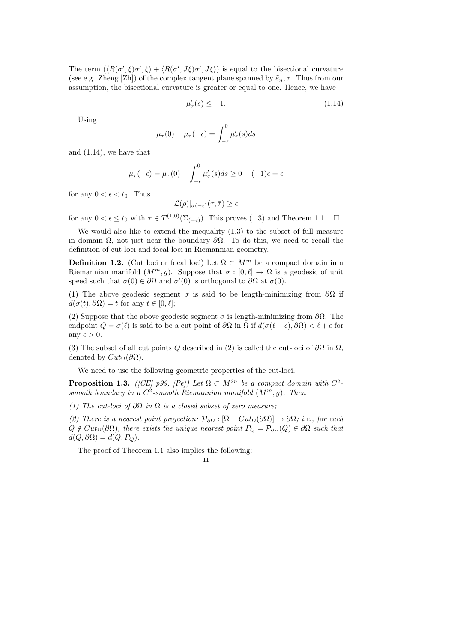The term  $(\langle R(\sigma', \xi)\sigma', \xi\rangle + \langle R(\sigma', J\xi)\sigma', J\xi\rangle)$  is equal to the bisectional curvature (see e.g. Zheng [Zh]) of the complex tangent plane spanned by  $\tilde{e}_n, \tau$ . Thus from our assumption, the bisectional curvature is greater or equal to one. Hence, we have

$$
\mu'_{\tau}(s) \le -1. \tag{1.14}
$$

Using

$$
\mu_{\tau}(0) - \mu_{\tau}(-\epsilon) = \int_{-\epsilon}^{0} \mu'_{\tau}(s)ds
$$

and (1.14), we have that

$$
\mu_{\tau}(-\epsilon) = \mu_{\tau}(0) - \int_{-\epsilon}^{0} \mu_{\tau}'(s)ds \ge 0 - (-1)\epsilon = \epsilon
$$

for any  $0 < \epsilon < t_0$ . Thus

$$
\mathcal{L}(\rho)|_{\sigma(-\epsilon)}(\tau,\bar{\tau}) \ge \epsilon
$$

for any  $0 < \epsilon \leq t_0$  with  $\tau \in T^{(1,0)}(\Sigma_{(-\epsilon)})$ . This proves  $(1.3)$  and Theorem 1.1.  $\Box$ 

We would also like to extend the inequality (1.3) to the subset of full measure in domain  $\Omega$ , not just near the boundary  $\partial\Omega$ . To do this, we need to recall the definition of cut loci and focal loci in Riemannian geometry.

**Definition 1.2.** (Cut loci or focal loci) Let  $\Omega \subset M^m$  be a compact domain in a Riemannian manifold  $(M^m, g)$ . Suppose that  $\sigma : [0, \ell] \to \Omega$  is a geodesic of unit speed such that  $\sigma(0) \in \partial\Omega$  and  $\sigma'(0)$  is orthogonal to  $\partial\Omega$  at  $\sigma(0)$ .

(1) The above geodesic segment  $\sigma$  is said to be length-minimizing from  $\partial\Omega$  if  $d(\sigma(t), \partial \Omega) = t$  for any  $t \in [0, \ell];$ 

(2) Suppose that the above geodesic segment  $\sigma$  is length-minimizing from  $\partial\Omega$ . The endpoint  $Q = \sigma(\ell)$  is said to be a cut point of  $\partial\Omega$  in  $\Omega$  if  $d(\sigma(\ell + \epsilon), \partial\Omega) < \ell + \epsilon$  for any  $\epsilon > 0$ .

(3) The subset of all cut points Q described in (2) is called the cut-loci of  $\partial\Omega$  in  $\Omega$ , denoted by  $Cut_{\Omega}(\partial \Omega)$ .

We need to use the following geometric properties of the cut-loci.

**Proposition 1.3.** *([CE] p99, [Pe])* Let  $\Omega \subset M^{2n}$  be a compact domain with C<sup>2</sup>*smooth boundary in a*  $C^2$ -smooth Riemannian manifold  $(M^m, g)$ . Then

*(1) The cut-loci of* ∂Ω *in* Ω *is a closed subset of zero measure;*

*(2) There is a nearest point projection:*  $\mathcal{P}_{\partial\Omega}$  :  $[Ω - Cut_Ω(∂Ω)] → ∂Ω$ *; i.e., for each*  $Q \notin Cut_{\Omega}(\partial \Omega)$ , there exists the unique nearest point  $P_Q = P_{\partial \Omega}(Q) \in \partial \Omega$  such that  $d(Q, \partial \Omega) = d(Q, P_Q)$ .

The proof of Theorem 1.1 also implies the following:

$$
11\,
$$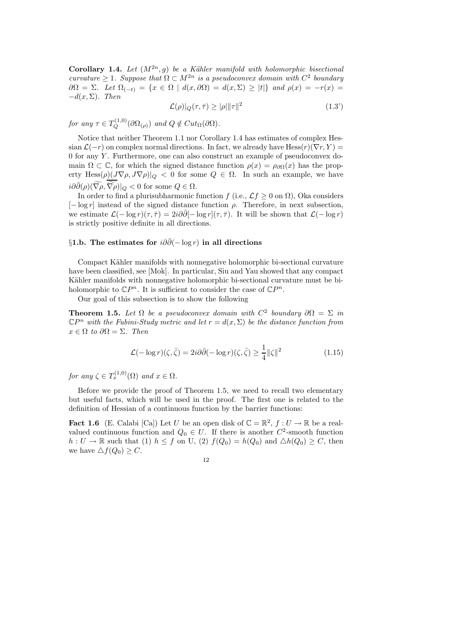**Corollary 1.4.** *Let*  $(M^{2n}, g)$  *be a Kähler manifold with holomorphic bisectional curvature*  $\geq 1$ *. Suppose that*  $\Omega \subset M^{2n}$  *is a pseudoconvex domain with*  $C^2$  *boundary*  $\partial\Omega = \Sigma$ *. Let*  $\Omega_{(-t)} = \{x \in \Omega \mid d(x, \partial\Omega) = d(x, \Sigma) \ge |t|\}$  *and*  $\rho(x) = -r(x) =$ −d(x, Σ)*. Then*

$$
\mathcal{L}(\rho)|_Q(\tau,\bar{\tau}) \ge |\rho| \|\tau\|^2 \tag{1.3'}
$$

*for any*  $\tau \in T_Q^{(1,0)}(\partial \Omega_{(\rho)})$  *and*  $Q \notin Cut_\Omega(\partial \Omega)$ *.* 

Notice that neither Theorem 1.1 nor Corollary 1.4 has estimates of complex Hessian  $\mathcal{L}(-r)$  on complex normal directions. In fact, we already have Hess $(r)(\nabla r, Y) =$ 0 for any Y . Furthermore, one can also construct an example of pseudoconvex domain  $\Omega \subset \mathbb{C}$ , for which the signed distance function  $\rho(x) = \rho_{\partial\Omega}(x)$  has the property Hess $(\rho)(J\nabla \rho, J\nabla \rho)|_Q < 0$  for some  $Q \in \Omega$ . In such an example, we have  $i\partial\bar{\partial}(\rho)(\widetilde{\nabla}\rho,\widetilde{\nabla}\rho)|_Q < 0$  for some  $Q \in \Omega$ .

In order to find a plurisubharmonic function f (i.e.,  $\mathcal{L}f \geq 0$  on  $\Omega$ ), Oka considers  $[-\log r]$  instead of the signed distance function  $\rho$ . Therefore, in next subsection, we estimate  $\mathcal{L}(-\log r)(\tau,\bar{\tau})=2i\partial\bar{\partial}[-\log r](\tau,\bar{\tau})$ . It will be shown that  $\mathcal{L}(-\log r)$ is strictly positive definite in all directions.

#### §**1.b.** The estimates for  $i\partial\bar{\partial}(-\log r)$  in all directions

Compact Kähler manifolds with nonnegative holomorphic bi-sectional curvature have been classified, see [Mok]. In particular, Siu and Yau showed that any compact Kähler manifolds with nonnegative holomorphic bi-sectional curvature must be biholomorphic to  $\mathbb{C}P^n$ . It is sufficient to consider the case of  $\mathbb{C}P^n$ .

Our goal of this subsection is to show the following

**Theorem 1.5.** *Let*  $\Omega$  *be a pseudoconvex domain with*  $C^2$  *boundary*  $\partial \Omega = \Sigma$  *in*  $\mathbb{C}P^n$  with the Fubini-Study metric and let  $r = d(x, \Sigma)$  be the distance function from  $x \in \Omega$  *to*  $\partial \Omega = \Sigma$ *. Then* 

$$
\mathcal{L}(-\log r)(\zeta, \bar{\zeta}) = 2i\partial\bar{\partial}(-\log r)(\zeta, \bar{\zeta}) \ge \frac{1}{4} ||\zeta||^2 \tag{1.15}
$$

*for any*  $\zeta \in T_x^{(1,0)}(\Omega)$  *and*  $x \in \Omega$ *.* 

Before we provide the proof of Theorem 1.5, we need to recall two elementary but useful facts, which will be used in the proof. The first one is related to the definition of Hessian of a continuous function by the barrier functions:

**Fact 1.6** (E. Calabi [Ca]) Let U be an open disk of  $\mathbb{C} = \mathbb{R}^2$ ,  $f: U \to \mathbb{R}$  be a realvalued continuous function and  $Q_0 \in U$ . If there is another  $C^2$ -smooth function  $h: U \to \mathbb{R}$  such that (1)  $h \leq f$  on U, (2)  $f(Q_0) = h(Q_0)$  and  $\Delta h(Q_0) \geq C$ , then we have  $\Delta f(Q_0) \geq C$ .

12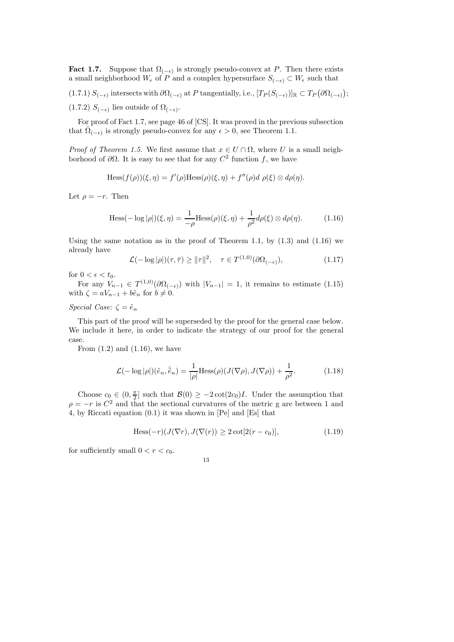**Fact 1.7.** Suppose that  $\Omega_{(-\epsilon)}$  is strongly pseudo-convex at P. Then there exists a small neighborhood  $W_{\epsilon}$  of P and a complex hypersurface  $S_{(-\epsilon)} \subset W_{\epsilon}$  such that

(1.7.1)  $S_{(-\epsilon)}$  intersects with  $\partial\Omega_{(-\epsilon)}$  at P tangentially, i.e.,  $[T_P(S_{(-\epsilon)})]_{\mathbb{R}} \subset T_P(\partial\Omega_{(-\epsilon)})$ ;

(1.7.2)  $S_{(-\epsilon)}$  lies outside of  $\Omega_{(-\epsilon)}$ .

For proof of Fact 1.7, see page 46 of [CS]. It was proved in the previous subsection that  $\overline{\Omega}_{(-\epsilon)}$  is strongly pseudo-convex for any  $\epsilon > 0$ , see Theorem 1.1.

*Proof of Theorem 1.5.* We first assume that  $x \in U \cap \Omega$ , where U is a small neighborhood of  $\partial Ω$ . It is easy to see that for any  $C^2$  function f, we have

$$
\text{Hess}(f(\rho))(\xi,\eta) = f'(\rho)\text{Hess}(\rho)(\xi,\eta) + f''(\rho)d \rho(\xi) \otimes d\rho(\eta).
$$

Let  $\rho = -r$ . Then

$$
\text{Hess}(-\log|\rho|)(\xi,\eta) = \frac{1}{-\rho}\text{Hess}(\rho)(\xi,\eta) + \frac{1}{\rho^2}d\rho(\xi) \otimes d\rho(\eta). \tag{1.16}
$$

Using the same notation as in the proof of Theorem 1.1, by  $(1.3)$  and  $(1.16)$  we already have

$$
\mathcal{L}(-\log|\rho|)(\tau,\bar{\tau}) \ge ||\tau||^2, \quad \tau \in T^{(1,0)}(\partial\Omega_{(-\epsilon)}),\tag{1.17}
$$

for  $0 < \epsilon < t_0$ .

For any  $V_{n-1} \in T^{(1,0)}(\partial \Omega_{(-\epsilon)})$  with  $|V_{n-1}| = 1$ , it remains to estimate (1.15) with  $\zeta = aV_{n-1} + b\tilde{e}_n$  for  $b \neq 0$ .

*Special Case:*  $\zeta = \tilde{e}_n$ 

This part of the proof will be superseded by the proof for the general case below. We include it here, in order to indicate the strategy of our proof for the general case.

From  $(1.2)$  and  $(1.16)$ , we have

$$
\mathcal{L}(-\log|\rho|)(\tilde{e}_n, \bar{\tilde{e}}_n) = \frac{1}{|\rho|} \text{Hess}(\rho)(J(\nabla \rho), J(\nabla \rho)) + \frac{1}{\rho^2}.
$$
 (1.18)

Choose  $c_0 \in (0, \frac{\pi}{2}]$  such that  $\mathcal{B}(0) \geq -2 \cot(2c_0)I$ . Under the assumption that  $\rho = -r$  is  $C^2$  and that the sectional curvatures of the metric g are between 1 and 4, by Riccati equation (0.1) it was shown in [Pe] and [Es] that

$$
\text{Hess}(-r)(J(\nabla r), J(\nabla(r)) \ge 2\cot[2(r - c_0)],\tag{1.19}
$$

for sufficiently small  $0 < r < c_0$ .

$$
\overline{13}
$$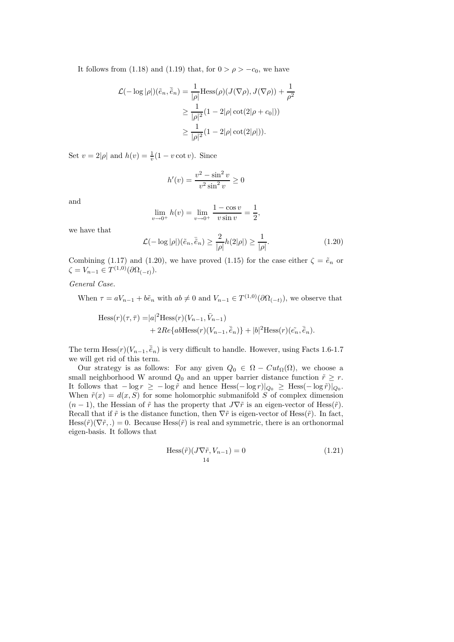It follows from (1.18) and (1.19) that, for  $0 > \rho > -c_0$ , we have

$$
\mathcal{L}(-\log|\rho|)(\tilde{e}_n, \tilde{\bar{e}}_n) = \frac{1}{|\rho|} \text{Hess}(\rho)(J(\nabla \rho), J(\nabla \rho)) + \frac{1}{\rho^2}
$$

$$
\geq \frac{1}{|\rho|^2} (1 - 2|\rho| \cot(2|\rho + c_0|))
$$

$$
\geq \frac{1}{|\rho|^2} (1 - 2|\rho| \cot(2|\rho|)).
$$

Set  $v = 2|\rho|$  and  $h(v) = \frac{1}{v}(1 - v \cot v)$ . Since

$$
h'(v) = \frac{v^2 - \sin^2 v}{v^2 \sin^2 v} \ge 0
$$

and

$$
\lim_{v \to 0^+} h(v) = \lim_{v \to 0^+} \frac{1 - \cos v}{v \sin v} = \frac{1}{2},
$$

we have that

$$
\mathcal{L}(-\log|\rho|)(\tilde{e}_n, \bar{\tilde{e}}_n) \ge \frac{2}{|\rho|}h(2|\rho|) \ge \frac{1}{|\rho|}.
$$
\n(1.20)

Combining (1.17) and (1.20), we have proved (1.15) for the case either  $\zeta = \tilde{e}_n$  or  $\zeta = V_{n-1} \in T^{(1,0)}(\partial \Omega_{(-t)}).$ 

*General Case.*

When  $\tau = aV_{n-1} + b\tilde{e}_n$  with  $ab \neq 0$  and  $V_{n-1} \in T^{(1,0)}(\partial \Omega_{(-t)})$ , we observe that

$$
\text{Hess}(r)(\tau,\bar{\tau}) = |a|^2 \text{Hess}(r)(V_{n-1}, \bar{V}_{n-1})
$$
  
+  $2Re\{ab\text{Hess}(r)(V_{n-1}, \bar{\tilde{e}}_n)\} + |b|^2 \text{Hess}(r)(\tilde{e_n}, \bar{\tilde{e}}_n).$ 

The term  $Hess(r)(V_{n-1}, \bar{\tilde{e}}_n)$  is very difficult to handle. However, using Facts 1.6-1.7 we will get rid of this term.

Our strategy is as follows: For any given  $Q_0 \in \Omega - Cut_{\Omega}(\Omega)$ , we choose a small neighborhood W around  $Q_0$  and an upper barrier distance function  $\tilde{r} \geq r$ . It follows that  $-\log r \ge -\log \tilde{r}$  and hence Hess( $-\log r$ )| $Q_0$  ≥ Hess( $-\log \tilde{r}$ )| $Q_0$ . When  $\tilde{r}(x) = d(x, S)$  for some holomorphic submanifold S of complex dimension  $(n-1)$ , the Hessian of  $\tilde{r}$  has the property that  $J\nabla \tilde{r}$  is an eigen-vector of Hess $(\tilde{r})$ . Recall that if  $\tilde{r}$  is the distance function, then  $\nabla \tilde{r}$  is eigen-vector of Hess $(\tilde{r})$ . In fact, Hess( $\tilde{r}$ )( $\nabla \tilde{r}$ ,.) = 0. Because Hess( $\tilde{r}$ ) is real and symmetric, there is an orthonormal eigen-basis. It follows that

$$
\text{Hess}(\tilde{r})(J\nabla \tilde{r}, V_{n-1}) = 0\tag{1.21}
$$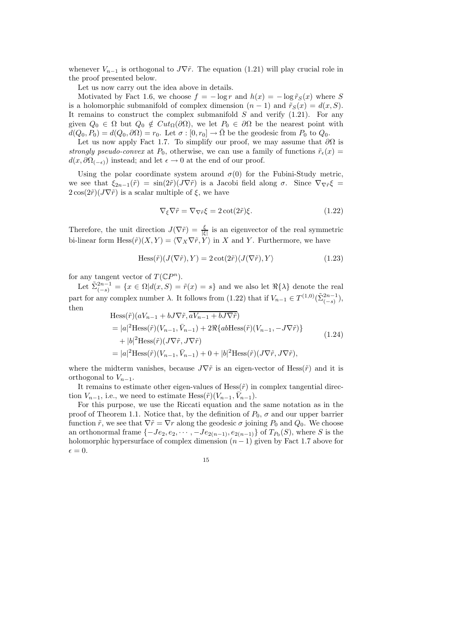whenever  $V_{n-1}$  is orthogonal to  $J\nabla \tilde{r}$ . The equation (1.21) will play crucial role in the proof presented below.

Let us now carry out the idea above in details.

Motivated by Fact 1.6, we choose  $f = -\log r$  and  $h(x) = -\log \tilde{r}_S(x)$  where S is a holomorphic submanifold of complex dimension  $(n-1)$  and  $\tilde{r}_S(x) = d(x, S)$ . It remains to construct the complex submanifold  $S$  and verify  $(1.21)$ . For any given  $Q_0 \in \Omega$  but  $Q_0 \notin Cut_\Omega(\partial\Omega)$ , we let  $P_0 \in \partial\Omega$  be the nearest point with  $d(Q_0, P_0) = d(Q_0, \partial\Omega) = r_0$ . Let  $\sigma : [0, r_0] \to \overline{\Omega}$  be the geodesic from  $P_0$  to  $Q_0$ .

Let us now apply Fact 1.7. To simplify our proof, we may assume that  $\partial\Omega$  is *strongly pseudo-convex* at  $P_0$ , otherwise, we can use a family of functions  $\tilde{r}_\epsilon(x)$  $d(x, \partial \Omega_{(-\epsilon)})$  instead; and let  $\epsilon \to 0$  at the end of our proof.

Using the polar coordinate system around  $\sigma(0)$  for the Fubini-Study metric, we see that  $\xi_{2n-1}(\tilde{r}) = \sin(2\tilde{r})(J\nabla \tilde{r})$  is a Jacobi field along  $\sigma$ . Since  $\nabla_{\nabla \tilde{r}}\xi =$  $2\cos(2\tilde{r})(J\nabla\tilde{r})$  is a scalar multiple of  $\xi$ , we have

$$
\nabla_{\xi} \nabla \tilde{r} = \nabla_{\nabla \tilde{r}} \xi = 2 \cot(2\tilde{r}) \xi.
$$
 (1.22)

Therefore, the unit direction  $J(\nabla \tilde{r}) = \frac{\xi}{|\xi|}$  is an eigenvector of the real symmetric bi-linear form  $Hess(\tilde{r})(X, Y) = \langle \nabla_X \nabla \tilde{r}, Y \rangle$  in X and Y. Furthermore, we have

$$
\text{Hess}(\tilde{r})(J(\nabla \tilde{r}), Y) = 2\cot(2\tilde{r})\langle J(\nabla \tilde{r}), Y \rangle \tag{1.23}
$$

for any tangent vector of  $T(\mathbb{C}P^n)$ .

Let  $\tilde{\Sigma}_{(-s)}^{2n-1} = \{x \in \Omega | d(x, S) = \tilde{r}(x) = s\}$  and we also let  $\Re\{\lambda\}$  denote the real part for any complex number  $\lambda$ . It follows from  $(1.22)$  that if  $V_{n-1} \in T^{(1,0)}(\tilde{\Sigma}_{(-s)}^{2n-1}),$ then

$$
\begin{aligned} \text{Hess}(\tilde{r})(aV_{n-1} + bJ\nabla\tilde{r}, \overline{aV_{n-1}} + bJ\nabla\tilde{r}) \\ &= |a|^2 \text{Hess}(\tilde{r})(V_{n-1}, \overline{V}_{n-1}) + 2\Re\{ab\text{Hess}(\tilde{r})(V_{n-1}, -J\nabla\tilde{r})\} \\ &+ |b|^2 \text{Hess}(\tilde{r})(J\nabla\tilde{r}, J\nabla\tilde{r}) \\ &= |a|^2 \text{Hess}(\tilde{r})(V_{n-1}, \overline{V}_{n-1}) + 0 + |b|^2 \text{Hess}(\tilde{r})(J\nabla\tilde{r}, J\nabla\tilde{r}), \end{aligned} \tag{1.24}
$$

where the midterm vanishes, because  $J\nabla \tilde{r}$  is an eigen-vector of Hess( $\tilde{r}$ ) and it is orthogonal to  $V_{n-1}$ .

It remains to estimate other eigen-values of  $Hess(\tilde{r})$  in complex tangential direction  $V_{n-1}$ , i.e., we need to estimate Hess $(\tilde{r})(V_{n-1}, \bar{V}_{n-1})$ .

For this purpose, we use the Riccati equation and the same notation as in the proof of Theorem 1.1. Notice that, by the definition of  $P_0$ ,  $\sigma$  and our upper barrier function  $\tilde{r}$ , we see that  $\nabla \tilde{r} = \nabla r$  along the geodesic  $\sigma$  joining  $P_0$  and  $Q_0$ . We choose an orthonormal frame  $\{-Je_2, e_2, \cdots, -Je_{2(n-1)}, e_{2(n-1)}\}$  of  $T_{P_0}(S)$ , where S is the holomorphic hypersurface of complex dimension  $(n - 1)$  given by Fact 1.7 above for  $\epsilon = 0.$ 

15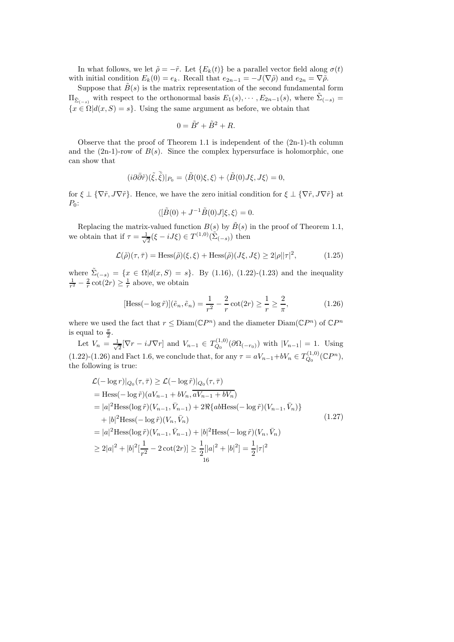In what follows, we let  $\tilde{\rho} = -\tilde{r}$ . Let  $\{E_k(t)\}\$ be a parallel vector field along  $\sigma(t)$ with initial condition  $E_k(0) = e_k$ . Recall that  $e_{2n-1} = -J(\nabla \tilde{\rho})$  and  $e_{2n} = \nabla \tilde{\rho}$ .

Suppose that  $\tilde{B}(s)$  is the matrix representation of the second fundamental form  $\Pi_{\tilde{\Sigma}_{(-s)}}$  with respect to the orthonormal basis  $E_1(s), \cdots, E_{2n-1}(s)$ , where  $\tilde{\Sigma}_{(-s)}$  =  ${x \in \Omega | d(x, S) = s}.$  Using the same argument as before, we obtain that

$$
0 = \tilde{B}' + \tilde{B}^2 + R.
$$

Observe that the proof of Theorem 1.1 is independent of the (2n-1)-th column and the  $(2n-1)$ -row of  $B(s)$ . Since the complex hypersurface is holomorphic, one can show that

$$
(i\partial\bar{\partial}\tilde{r})(\tilde{\xi},\tilde{\tilde{\xi}})|_{P_0} = \langle \tilde{B}(0)\xi,\xi\rangle + \langle \tilde{B}(0)J\xi,J\xi\rangle = 0,
$$

for  $\xi \perp {\nabla} \tilde{r}, J \nabla \tilde{r}$ . Hence, we have the zero initial condition for  $\xi \perp {\nabla} \tilde{r}, J \nabla \tilde{r}$  at  $P_0$ :

$$
\langle [\tilde{B}(0) + J^{-1}\tilde{B}(0)J]\xi, \xi \rangle = 0.
$$

Replacing the matrix-valued function  $B(s)$  by  $\tilde{B}(s)$  in the proof of Theorem 1.1, we obtain that if  $\tau = \frac{1}{\sqrt{2}} (\xi - iJ\xi) \in T^{(1,0)}(\tilde{\Sigma}_{(-s)})$  then

$$
\mathcal{L}(\tilde{\rho})(\tau,\bar{\tau}) = \text{Hess}(\tilde{\rho})(\xi,\xi) + \text{Hess}(\tilde{\rho})(J\xi,J\xi) \ge 2|\rho||\tau|^2, \tag{1.25}
$$

where  $\tilde{\Sigma}_{(-s)} = \{x \in \Omega | d(x, S) = s\}$ . By (1.16), (1.22)-(1.23) and the inequality  $\frac{1}{r^2} - \frac{2}{r} \cot(2r) \ge \frac{1}{r}$  above, we obtain

[Hess(- log 
$$
\tilde{r}
$$
)]( $\tilde{e}_n$ ,  $\tilde{e}_n$ ) =  $\frac{1}{r^2} - \frac{2}{r} \cot(2r) \ge \frac{1}{r} \ge \frac{2}{\pi}$ , (1.26)

where we used the fact that  $r \leq \text{Diam}(\mathbb{C}P^n)$  and the diameter  $\text{Diam}(\mathbb{C}P^n)$  of  $\mathbb{C}P^n$ is equal to  $\frac{\pi}{2}$ .

Let  $V_n = \frac{1}{\sqrt{2}} [\nabla r - i \mathcal{J} \nabla r]$  and  $V_{n-1} \in T_{Q_0}^{(1,0)}(\partial \Omega_{(-r_0)})$  with  $|V_{n-1}| = 1$ . Using (1.22)-(1.26) and Fact 1.6, we conclude that, for any  $\tau = aV_{n-1} + bV_n \in T_{Q_0}^{(1,0)}(\mathbb{C}P^n)$ , the following is true:

$$
\mathcal{L}(-\log r)|_{Q_0}(\tau,\bar{\tau}) \geq \mathcal{L}(-\log \tilde{r})|_{Q_0}(\tau,\bar{\tau})
$$
\n= Hess $(-\log \tilde{r})(aV_{n-1} + bV_n, \overline{aV_{n-1} + bV_n})$   
\n=  $|a|^2$ Hess $(\log \tilde{r})(V_{n-1}, \bar{V}_{n-1}) + 2\Re{\abHess(-\log \tilde{r})(V_{n-1}, \bar{V}_n)}$   
\n+  $|b|^2$ Hess $(-\log \tilde{r})(V_n, \bar{V}_n)$   
\n=  $|a|^2$ Hess $(\log \tilde{r})(V_{n-1}, \bar{V}_{n-1}) + |b|^2$ Hess $(-\log \tilde{r})(V_n, \bar{V}_n)$   
\n $\geq 2|a|^2 + |b|^2[\frac{1}{r^2} - 2\cot(2r)] \geq \frac{1}{2}(|a|^2 + |b|^2] = \frac{1}{2}|\tau|^2$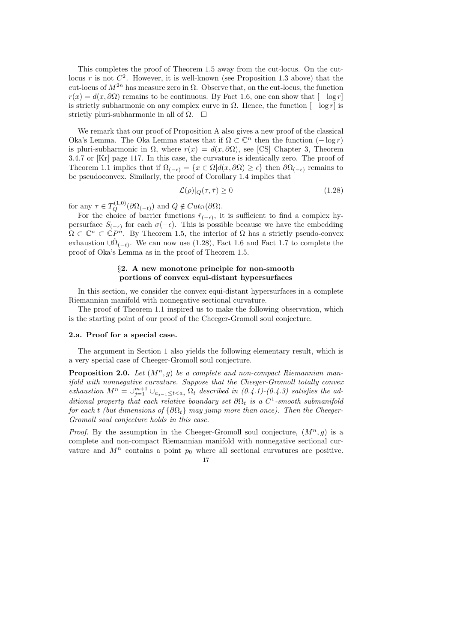This completes the proof of Theorem 1.5 away from the cut-locus. On the cutlocus r is not  $C^2$ . However, it is well-known (see Proposition 1.3 above) that the cut-locus of  $M^{2n}$  has measure zero in  $\Omega$ . Observe that, on the cut-locus, the function  $r(x) = d(x, \partial\Omega)$  remains to be continuous. By Fact 1.6, one can show that  $[-\log r]$ is strictly subharmonic on any complex curve in  $\Omega$ . Hence, the function  $[-\log r]$  is strictly pluri-subharmonic in all of  $\Omega$ .  $\square$ 

We remark that our proof of Proposition A also gives a new proof of the classical Oka's Lemma. The Oka Lemma states that if  $\Omega \subset \mathbb{C}^n$  then the function  $(-\log r)$ is pluri-subharmonic in  $\Omega$ , where  $r(x) = d(x, \partial \Omega)$ , see [CS] Chapter 3, Theorem 3.4.7 or [Kr] page 117. In this case, the curvature is identically zero. The proof of Theorem 1.1 implies that if  $\Omega_{(-\epsilon)} = \{x \in \Omega | d(x, \partial \Omega) \geq \epsilon\}$  then  $\partial \Omega_{(-\epsilon)}$  remains to be pseudoconvex. Similarly, the proof of Corollary 1.4 implies that

$$
\mathcal{L}(\rho)|_Q(\tau,\bar{\tau}) \ge 0 \tag{1.28}
$$

for any  $\tau \in T_Q^{(1,0)}(\partial \Omega_{(-t)})$  and  $Q \notin Cut_\Omega(\partial \Omega)$ .

For the choice of barrier functions  $\tilde{r}_{(-\epsilon)}$ , it is sufficient to find a complex hypersurface  $S_{(-\epsilon)}$  for each  $\sigma(-\epsilon)$ . This is possible because we have the embedding  $\Omega \subset \mathbb{C}^n \subset \mathbb{C}P^n$ . By Theorem 1.5, the interior of  $\Omega$  has a strictly pseudo-convex exhaustion  $\cup \hat{\Omega}_{(-t)}$ . We can now use (1.28), Fact 1.6 and Fact 1.7 to complete the proof of Oka's Lemma as in the proof of Theorem 1.5.

#### §**2. A new monotone principle for non-smooth portions of convex equi-distant hypersurfaces**

In this section, we consider the convex equi-distant hypersurfaces in a complete Riemannian manifold with nonnegative sectional curvature.

The proof of Theorem 1.1 inspired us to make the following observation, which is the starting point of our proof of the Cheeger-Gromoll soul conjecture.

#### **2.a. Proof for a special case.**

The argument in Section 1 also yields the following elementary result, which is a very special case of Cheeger-Gromoll soul conjecture.

**Proposition 2.0.** Let  $(M^n, g)$  be a complete and non-compact Riemannian man*ifold with nonnegative curvature. Suppose that the Cheeger-Gromoll totally convex exhaustion*  $M^n = \bigcup_{j=1}^{m+1} \bigcup_{a_{j-1} \leq t < a_j} \Omega_t$  *described in*  $(0.4.1)-(0.4.3)$  *satisfies the additional property that each relative boundary set*  $\partial\Omega_t$  *is a*  $C^1$ -smooth submanifold *for each t (but dimensions of*  $\{\partial\Omega_t\}$  *may jump more than once). Then the Cheeger-Gromoll soul conjecture holds in this case.*

*Proof.* By the assumption in the Cheeger-Gromoll soul conjecture,  $(M^n, g)$  is a complete and non-compact Riemannian manifold with nonnegative sectional curvature and  $M^n$  contains a point  $p_0$  where all sectional curvatures are positive.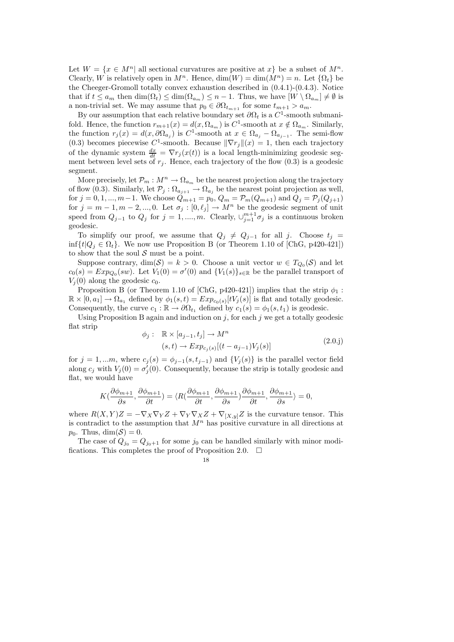Let  $W = \{x \in M^n |$  all sectional curvatures are positive at  $x\}$  be a subset of  $M^n$ . Clearly, W is relatively open in  $M^n$ . Hence,  $\dim(W) = \dim(M^n) = n$ . Let  $\{\Omega_t\}$  be the Cheeger-Gromoll totally convex exhaustion described in (0.4.1)-(0.4.3). Notice that if  $t \le a_m$  then  $\dim(\Omega_t) \le \dim(\Omega_{a_m}) \le n-1$ . Thus, we have  $[W \setminus \Omega_{a_m}] \neq \emptyset$  is a non-trivial set. We may assume that  $p_0 \in \partial \Omega_{t_{m+1}}$  for some  $t_{m+1} > a_m$ .

By our assumption that each relative boundary set  $\partial \Omega_t$  is a  $C^1$ -smooth submanifold. Hence, the function  $r_{m+1}(x) = d(x, \Omega_{a_m})$  is  $C^1$ -smooth at  $x \notin \Omega_{a_m}$ . Similarly, the function  $r_j(x) = d(x, \partial \Omega_{a_j})$  is C<sup>1</sup>-smooth at  $x \in \Omega_{a_j} - \Omega_{a_{j-1}}$ . The semi-flow (0.3) becomes piecewise  $C^1$ -smooth. Because  $\|\nabla r_j\|(x) = 1$ , then each trajectory of the dynamic system  $\frac{dx}{dt} = \nabla r_j(x(t))$  is a local length-minimizing geodesic segment between level sets of  $r_j$ . Hence, each trajectory of the flow  $(0.3)$  is a geodesic segment.

More precisely, let  $\mathcal{P}_m : M^n \to \Omega_{a_m}$  be the nearest projection along the trajectory of flow (0.3). Similarly, let  $\mathcal{P}_j : \Omega_{a_{j+1}} \to \Omega_{a_j}$  be the nearest point projection as well, for  $j = 0, 1, ..., m-1$ . We choose  $Q_{m+1} = p_0$ ,  $Q_m = \mathcal{P}_m(Q_{m+1})$  and  $Q_j = \mathcal{P}_j(Q_{j+1})$ for  $j = m - 1, m - 2, ..., 0$ . Let  $\sigma_j : [0, \ell_j] \to M^n$  be the geodesic segment of unit speed from  $Q_{j-1}$  to  $Q_j$  for  $j = 1, \ldots, m$ . Clearly,  $\cup_{j=1}^{m+1} \sigma_j$  is a continuous broken geodesic.

To simplify our proof, we assume that  $Q_j \neq Q_{j-1}$  for all j. Choose  $t_j =$ inf $\{t|Q_j \in \Omega_t\}$ . We now use Proposition B (or Theorem 1.10 of [ChG, p420-421]) to show that the soul  $S$  must be a point.

Suppose contrary,  $\dim(\mathcal{S}) = k > 0$ . Choose a unit vector  $w \in T_{Q_0}(\mathcal{S})$  and let  $c_0(s) = Exp_{Q_0}(sw)$ . Let  $V_1(0) = \sigma'(0)$  and  $\{V_1(s)\}_{s \in \mathbb{R}}$  be the parallel transport of  $V_i(0)$  along the geodesic  $c_0$ .

Proposition B (or Theorem 1.10 of [ChG, p420-421]) implies that the strip  $\phi_1$ :  $\mathbb{R} \times [0, a_1] \to \Omega_{a_1}$  defined by  $\phi_1(s, t) = Exp_{c_0(s)}[tV_j(s)]$  is flat and totally geodesic. Consequently, the curve  $c_1 : \mathbb{R} \to \partial \Omega_{t_1}$  defined by  $c_1(s) = \phi_1(s, t_1)$  is geodesic.

Using Proposition B again and induction on  $j$ , for each  $j$  we get a totally geodesic flat strip

$$
\phi_j: \mathbb{R} \times [a_{j-1}, t_j] \to M^n
$$
  

$$
(s, t) \to Exp_{c_j(s)}[(t - a_{j-1})V_j(s)]
$$
 (2.0.1)

for  $j = 1, ...m$ , where  $c_j(s) = \phi_{j-1}(s, t_{j-1})$  and  $\{V_j(s)\}\$ is the parallel vector field along  $c_j$  with  $V_j(0) = \sigma'_j(0)$ . Consequently, because the strip is totally geodesic and flat, we would have

$$
K(\frac{\partial \phi_{m+1}}{\partial s}, \frac{\partial \phi_{m+1}}{\partial t}) = \langle R(\frac{\partial \phi_{m+1}}{\partial t}, \frac{\partial \phi_{m+1}}{\partial s}) \frac{\partial \phi_{m+1}}{\partial t}, \frac{\partial \phi_{m+1}}{\partial s} \rangle = 0,
$$

where  $R(X, Y)Z = -\nabla_X \nabla_Y Z + \nabla_Y \nabla_X Z + \nabla_{[X,y]} Z$  is the curvature tensor. This is contradict to the assumption that  $M<sup>n</sup>$  has positive curvature in all directions at  $p_0$ . Thus, dim $(S) = 0$ .

The case of  $Q_{j_0} = Q_{j_0+1}$  for some  $j_0$  can be handled similarly with minor modifications. This completes the proof of Proposition 2.0.  $\Box$ 

$$
18\:
$$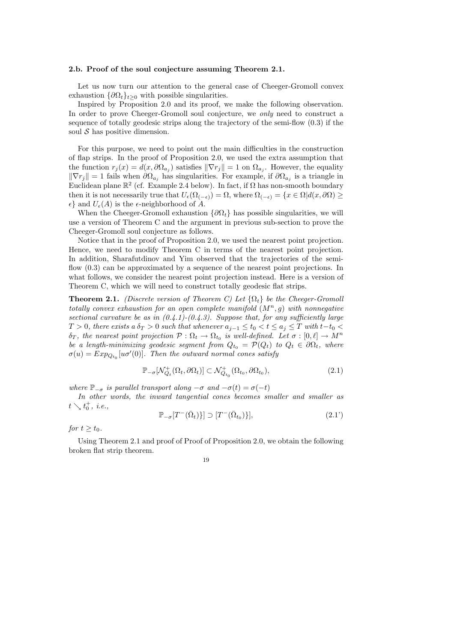#### **2.b. Proof of the soul conjecture assuming Theorem 2.1.**

Let us now turn our attention to the general case of Cheeger-Gromoll convex exhaustion  $\{\partial \Omega_t\}_{t>0}$  with possible singularities.

Inspired by Proposition 2.0 and its proof, we make the following observation. In order to prove Cheeger-Gromoll soul conjecture, we *only* need to construct a sequence of totally geodesic strips along the trajectory of the semi-flow (0.3) if the soul  $S$  has positive dimension.

For this purpose, we need to point out the main difficulties in the construction of flap strips. In the proof of Proposition 2.0, we used the extra assumption that the function  $r_j(x) = d(x, \partial \Omega_{a_j})$  satisfies  $\|\nabla r_j\| = 1$  on  $\Omega_{a_j}$ . However, the equality  $\|\nabla r_j\| = 1$  fails when  $\partial \Omega_{a_j}$  has singularities. For example, if  $\partial \Omega_{a_j}$  is a triangle in Euclidean plane  $\mathbb{R}^2$  (cf. Example 2.4 below). In fact, if  $\Omega$  has non-smooth boundary then it is not necessarily true that  $U_{\epsilon}(\Omega_{(-\epsilon)}) = \Omega$ , where  $\Omega_{(-\epsilon)} = \{x \in \Omega | d(x, \partial \Omega) \ge$  $\epsilon$ } and  $U_{\epsilon}(A)$  is the  $\epsilon$ -neighborhood of A.

When the Cheeger-Gromoll exhaustion  $\{\partial\Omega_t\}$  has possible singularities, we will use a version of Theorem C and the argument in previous sub-section to prove the Cheeger-Gromoll soul conjecture as follows.

Notice that in the proof of Proposition 2.0, we used the nearest point projection. Hence, we need to modify Theorem C in terms of the nearest point projection. In addition, Sharafutdinov and Yim observed that the trajectories of the semiflow (0.3) can be approximated by a sequence of the nearest point projections. In what follows, we consider the nearest point projection instead. Here is a version of Theorem C, which we will need to construct totally geodesic flat strips.

**Theorem 2.1.** *(Discrete version of Theorem C) Let*  $\{\Omega_t\}$  *be the Cheeger-Gromoll totally convex exhaustion for an open complete manifold*  $(M^n, g)$  *with nonnegative sectional curvature be as in (0.4.1)-(0.4.3). Suppose that, for any sufficiently large*  $T > 0$ , there exists a  $\delta_T > 0$  such that whenever  $a_{i-1} \le t_0 < t \le a_i \le T$  with  $t-t_0 <$  $\delta_T$ *, the nearest point projection*  $\mathcal{P}: \Omega_t \to \Omega_{t_0}$  *is well-defined. Let*  $\sigma : [0, \ell] \to M^n$ *be a length-minimizing geodesic segment from*  $Q_{t_0} = \mathcal{P}(Q_t)$  *to*  $Q_t \in \partial \Omega_t$ *, where*  $\sigma(u) = Exp_{Q_{t_0}}[u\sigma'(0)].$  Then the outward normal cones satisfy

$$
\mathbb{P}_{-\sigma}[\mathcal{N}_{Q_t}^+(\Omega_t, \partial \Omega_t)] \subset \mathcal{N}_{Q_{t_0}}^+(\Omega_{t_0}, \partial \Omega_{t_0}),\tag{2.1}
$$

*where*  $\mathbb{P}_{-\sigma}$  *is parallel transport along*  $-\sigma$  *and*  $-\sigma(t) = \sigma(-t)$ 

*In other words, the inward tangential cones becomes smaller and smaller as*  $t \searrow t_0^+, i.e.,$ 

$$
\mathbb{P}_{-\sigma}[T^{-}(\bar{\Omega}_t)\}] \supset [T^{-}(\bar{\Omega}_{t_0})\}], \tag{2.1'}
$$

*for*  $t \geq t_0$ *.* 

Using Theorem 2.1 and proof of Proof of Proposition 2.0, we obtain the following broken flat strip theorem.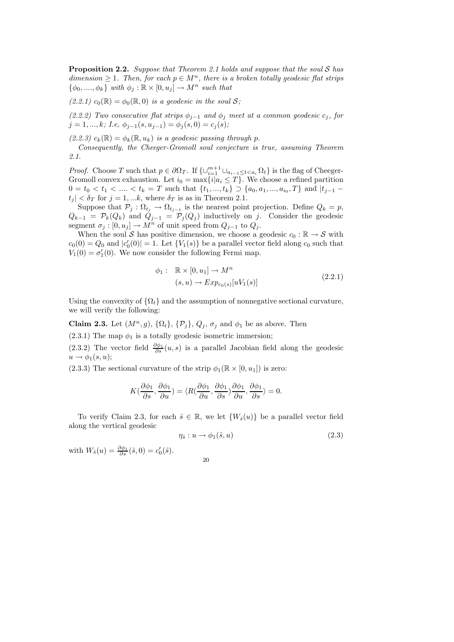**Proposition 2.2.** *Suppose that Theorem 2.1 holds and suppose that the soul* S *has*  $dimension \geq 1$ . Then, for each  $p \in M^n$ , there is a broken totally geodesic flat strips  $\{\phi_0, ..., \phi_k\}$  *with*  $\phi_j : \mathbb{R} \times [0, u_j] \to M^n$  *such that* 

 $(2.2.1)$   $c_0(\mathbb{R}) = \phi_0(\mathbb{R}, 0)$  *is a geodesic in the soul S*;

*(2.2.2) Two consecutive flat strips*  $\phi_{j-1}$  *and*  $\phi_j$  *meet at a common geodesic*  $c_j$ *, for*  $j = 1, ..., k; I.e, \phi_{j-1}(s, u_{j-1}) = \phi_j(s, 0) = c_j(s);$ 

(2.2.3)  $c_k(\mathbb{R}) = \phi_k(\mathbb{R}, u_k)$  *is a geodesic passing through p.* 

*Consequently, the Cheeger-Gromoll soul conjecture is true, assuming Theorem 2.1.*

*Proof.* Choose T such that  $p \in \partial \Omega_T$ . If  $\{\cup_{i=1}^{m+1} \cup_{a_{i-1} \leq t < a_i} \Omega_t\}$  is the flag of Cheeger-Gromoll convex exhaustion. Let  $i_0 = \max\{i | a_i \leq T\}$ . We choose a refined partition  $0 = t_0 < t_1 < \ldots < t_k = T$  such that  $\{t_1, ..., t_k\} \supset \{a_0, a_1, ..., a_{i_0}, T\}$  and  $|t_{j-1} |t_i| < \delta_T$  for  $j = 1, ...k$ , where  $\delta_T$  is as in Theorem 2.1.

Suppose that  $\mathcal{P}_j$  :  $\Omega_{t_j} \to \Omega_{t_{j-1}}$  is the nearest point projection. Define  $Q_k = p$ ,  $Q_{k-1} = \mathcal{P}_k(Q_k)$  and  $Q_{j-1} = \mathcal{P}_j(Q_j)$  inductively on j. Consider the geodesic segment  $\sigma_j : [0, u_j] \to M^n$  of unit speed from  $Q_{j-1}$  to  $Q_j$ .

When the soul S has positive dimension, we choose a geodesic  $c_0 : \mathbb{R} \to \mathcal{S}$  with  $c_0(0) = Q_0$  and  $|c'_0(0)| = 1$ . Let  ${V_1(s)}$  be a parallel vector field along  $c_0$  such that  $V_1(0) = \sigma'_1(0)$ . We now consider the following Fermi map.

$$
\begin{aligned}\n\phi_1: \quad &\mathbb{R} \times [0, u_1] \to M^n \\
(s, u) \to \operatorname{Exp}_{c_0(s)}[uV_1(s)]\n\end{aligned} \tag{2.2.1}
$$

Using the convexity of  $\{\Omega_t\}$  and the assumption of nonnegative sectional curvature, we will verify the following:

**Claim 2.3.** Let  $(M^n, g)$ ,  $\{\Omega_t\}$ ,  $\{\mathcal{P}_j\}$ ,  $Q_j$ ,  $\sigma_j$  and  $\phi_1$  be as above. Then

 $(2.3.1)$  The map  $\phi_1$  is a totally geodesic isometric immersion;

(2.3.2) The vector field  $\frac{\partial \phi_1}{\partial s}(u, s)$  is a parallel Jacobian field along the geodesic  $u \rightarrow \phi_1(s, u);$ 

(2.3.3) The sectional curvature of the strip  $\phi_1(\mathbb{R} \times [0, u_1])$  is zero:

$$
K\left(\frac{\partial \phi_1}{\partial s}, \frac{\partial \phi_1}{\partial u}\right) = \langle R\left(\frac{\partial \phi_1}{\partial u}, \frac{\partial \phi_1}{\partial s}\right) \frac{\partial \phi_1}{\partial u}, \frac{\partial \phi_1}{\partial s} \rangle = 0.
$$

To verify Claim 2.3, for each  $\hat{s} \in \mathbb{R}$ , we let  $\{W_{\hat{s}}(u)\}\$ be a parallel vector field along the vertical geodesic

$$
\eta_{\hat{s}}: u \to \phi_1(\hat{s}, u) \tag{2.3}
$$

with  $W_{\hat{s}}(u) = \frac{\partial \phi_1}{\partial s}(\hat{s}, 0) = c'_0(\hat{s}).$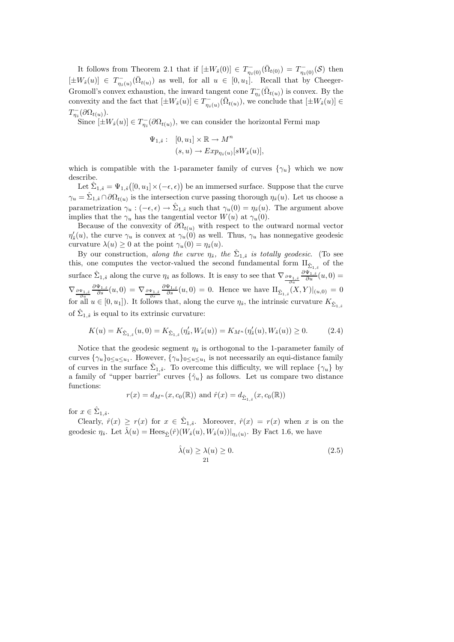It follows from Theorem 2.1 that if  $[\pm W_{\hat{s}}(0)] \in T^-_{\eta_{\hat{s}}(0)}(\bar{\Omega}_{t(0)}) = T^-_{\eta_{\hat{s}}(0)}(\mathcal{S})$  then  $[\pm W_{\hat{s}}(u)] \in T^-_{\eta_{\hat{s}}(u)}(\bar{\Omega}_{t(u)})$  as well, for all  $u \in [0, u_1]$ . Recall that by Cheeger-Gromoll's convex exhaustion, the inward tangent cone  $T_{\eta_s}^-(\bar{\Omega}_{t(u)})$  is convex. By the convexity and the fact that  $[\pm W_{\hat{s}}(u)] \in T_{\eta_{\hat{s}}(u)}^{-}(\bar{\Omega}_{t(u)})$ , we conclude that  $[\pm W_{\hat{s}}(u)] \in$  $T_{\eta_s}^-(\partial\Omega_{t(u)})$ .

Since  $[\pm W_{\hat{s}}(u)] \in T_{\eta_{\hat{s}}}^-(\partial \Omega_{t(u)})$ , we can consider the horizontal Fermi map

$$
\Psi_{1,\hat{s}}: \quad [0, u_1] \times \mathbb{R} \to M^n
$$

$$
(s, u) \to Exp_{\eta_{\hat{s}}(u)}[sW_{\hat{s}}(u)],
$$

which is compatible with the 1-parameter family of curves  $\{\gamma_u\}$  which we now describe.

Let  $\hat{\Sigma}_{1,\hat{s}} = \Psi_{1,\hat{s}}([0, u_1] \times (-\epsilon, \epsilon))$  be an immersed surface. Suppose that the curve  $\gamma_u = \hat{\Sigma}_{1,\hat{s}} \cap \partial \Omega_{t(u)}$  is the intersection curve passing thorough  $\eta_{\hat{s}}(u)$ . Let us choose a parametrization  $\gamma_u : (-\epsilon, \epsilon) \to \hat{\Sigma}_{1, \hat{s}}$  such that  $\gamma_u(0) = \eta_{\hat{s}}(u)$ . The argument above implies that the  $\gamma_u$  has the tangential vector  $W(u)$  at  $\gamma_u(0)$ .

Because of the convexity of  $\partial \Omega_{t(u)}$  with respect to the outward normal vector  $\eta_s'(u)$ , the curve  $\gamma_u$  is convex at  $\gamma_u(0)$  as well. Thus,  $\gamma_u$  has nonnegative geodesic curvature  $\lambda(u) \geq 0$  at the point  $\gamma_u(0) = \eta_{\hat{s}}(u)$ .

By our construction, *along the curve*  $\eta_{\hat{s}}$ , *the*  $\Sigma_{1,\hat{s}}$  *is totally geodesic.* (To see this, one computes the vector-valued the second fundamental form  $II_{\hat{\Sigma}_{1,s}}$  of the surface  $\hat{\Sigma}_{1,\hat{s}}$  along the curve  $\eta_{\hat{s}}$  as follows. It is easy to see that  $\nabla_{\frac{\partial \Psi_{1,\hat{s}}}{\partial u}}(\hat{u},0)$  $\nabla_{\frac{\partial \Psi_{1,\hat{s}}}{\partial s}} \frac{\partial \Psi_{1,\hat{s}}}{\partial s}(u,0) = \nabla_{\frac{\partial \Psi_{1,\hat{s}}}{\partial s}} \frac{\partial \Psi_{1,\hat{s}}}{\partial s}(u,0) = 0.$  Hence we have  $\prod_{\hat{\Sigma}_{1,\hat{s}}}(X,Y)|_{(u,0)} = 0$  $\hat{\rho}_u^{(s)}$  and  $u \in [0, u_1]$ . It follows that, along the curve  $\eta_s$ , the intrinsic curvature  $K_{\hat{\Sigma}_{1,s}}$ of  $\hat{\Sigma}_{1,\hat{s}}$  is equal to its extrinsic curvature:

$$
K(u) = K_{\hat{\Sigma}_{1,\hat{s}}}(u,0) = K_{\hat{\Sigma}_{1,\hat{s}}}(\eta'_{\hat{s}}, W_{\hat{s}}(u)) = K_{M^n}(\eta'_{\hat{s}}(u), W_{\hat{s}}(u)) \ge 0.
$$
 (2.4)

Notice that the geodesic segment  $\eta_{\hat{s}}$  is orthogonal to the 1-parameter family of curves  $\{\gamma_u\}_{0\leq u\leq u_1}$ . However,  $\{\gamma_u\}_{0\leq u\leq u_1}$  is not necessarily an equi-distance family of curves in the surface  $\hat{\Sigma}_{1,\hat{s}}$ . To overcome this difficulty, we will replace  $\{\gamma_u\}$  by a family of "upper barrier" curves  $\{\hat{\gamma}_u\}$  as follows. Let us compare two distance functions:

$$
r(x) = d_{M^n}(x, c_0(\mathbb{R}))
$$
 and  $\hat{r}(x) = d_{\hat{\Sigma}_{1,\hat{s}}}(x, c_0(\mathbb{R}))$ 

for  $x \in \hat{\Sigma}_{1,\hat{s}}$ .

Clearly,  $\hat{r}(x) \geq r(x)$  for  $x \in \hat{\Sigma}_{1,\hat{s}}$ . Moreover,  $\hat{r}(x) = r(x)$  when x is on the geodesic  $\eta_{\hat{s}}$ . Let  $\hat{\lambda}(u) = \text{Hees}_{\hat{\Sigma}}(\hat{r})(W_{\hat{s}}(u), W_{\hat{s}}(u))|_{\eta_{\hat{s}}(u)}$ . By Fact 1.6, we have

$$
\hat{\lambda}(u) \ge \lambda(u) \ge 0. \tag{2.5}
$$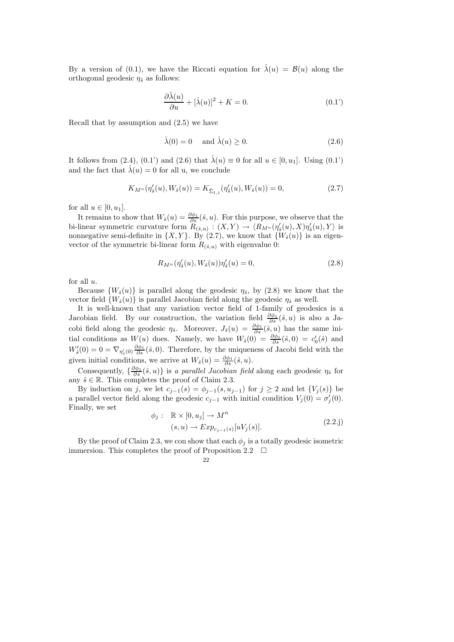By a version of (0.1), we have the Riccati equation for  $\hat{\lambda}(u) = \mathcal{B}(u)$  along the orthogonal geodesic  $\eta_{\hat{s}}$  as follows:

$$
\frac{\partial \hat{\lambda}(u)}{\partial u} + [\hat{\lambda}(u)]^2 + K = 0.
$$
\n(0.1')

Recall that by assumption and (2.5) we have

$$
\hat{\lambda}(0) = 0 \quad \text{ and } \hat{\lambda}(u) \ge 0. \tag{2.6}
$$

It follows from (2.4), (0.1') and (2.6) that  $\hat{\lambda}(u) \equiv 0$  for all  $u \in [0, u_1]$ . Using (0.1') and the fact that  $\hat{\lambda}(u) = 0$  for all u, we conclude

$$
K_{M^n}(\eta'_s(u), W_s(u)) = K_{\hat{\Sigma}_{1,\hat{s}}}(\eta'_s(u), W_{\hat{s}}(u)) = 0,
$$
\n(2.7)

for all  $u \in [0, u_1]$ .

It remains to show that  $W_{\hat{s}}(u) = \frac{\partial \phi_1}{\partial s}(\hat{s}, u)$ . For this purpose, we observe that the bi-linear symmetric curvature form  $\overline{R}_{(\hat{s},u)} : (X,Y) \to \langle R_{M^n}(\eta'_s(u),X)\eta'_s(u),Y\rangle$  is nonnegative semi-definite in  $\{X, Y\}$ . By (2.7), we know that  $\{W_{\hat{s}}(u)\}$  is an eigenvector of the symmetric bi-linear form  $R_{(\hat{s},u)}$  with eigenvalue 0:

$$
R_{M^n}(\eta'_s(u), W_{\hat{s}}(u))\eta'_s(u) = 0,
$$
\n(2.8)

for all  $u$ .

Because  $\{W_{\hat{s}}(u)\}\$ is parallel along the geodesic  $\eta_{\hat{s}}$ , by (2.8) we know that the vector field  $\{W_{\hat{s}}(u)\}\$ is parallel Jacobian field along the geodesic  $\eta_{\hat{s}}$  as well.

It is well-known that any variation vector field of 1-family of geodesics is a Jacobian field. By our construction, the variation field  $\frac{\partial \phi_1}{\partial s}(\hat{s}, u)$  is also a Jacobi field along the geodesic  $\eta_{\hat{s}}$ . Moreover,  $J_{\hat{s}}(u) = \frac{\partial \phi_1}{\partial s}(\hat{s}, u)$  has the same initial conditions as  $W(u)$  does. Namely, we have  $W_{\hat{s}}(0) = \frac{\partial \phi_1}{\partial s}(\hat{s},0) = c'_0(\hat{s})$  and  $W'_s(0) = 0 = \nabla_{\eta'_s(0)} \frac{\partial \phi_1}{\partial s}(\hat{s},0)$ . Therefore, by the uniqueness of Jacobi field with the given initial conditions, we arrive at  $W_{\hat{s}}(u) = \frac{\partial \phi_1}{\partial s}(\hat{s}, u)$ .

Consequently,  $\{\frac{\partial \phi_1}{\partial s}(\hat{s},u)\}\$ is *a parallel Jacobian field* along each geodesic  $\eta_{\hat{s}}$  for any  $\hat{s} \in \mathbb{R}$ . This completes the proof of Claim 2.3.

By induction on j, we let  $c_{j-1}(s) = \phi_{j-1}(s, u_{j-1})$  for  $j \geq 2$  and let  $\{V_j(s)\}\$ be a parallel vector field along the geodesic  $c_{j-1}$  with initial condition  $V_j(0) = \sigma'_j(0)$ . Finally, we set

$$
\phi_j: \mathbb{R} \times [0, u_j] \to M^n
$$
  

$$
(s, u) \to Exp_{c_{j-1}(s)}[uV_j(s)].
$$
 (2.2.1)

By the proof of Claim 2.3, we con show that each  $\phi_i$  is a totally geodesic isometric immersion. This completes the proof of Proposition 2.2  $\Box$ 

$$
^{22}
$$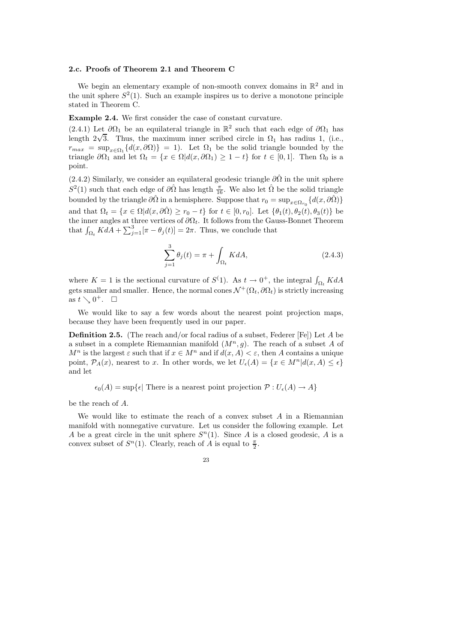#### **2.c. Proofs of Theorem 2.1 and Theorem C**

We begin an elementary example of non-smooth convex domains in  $\mathbb{R}^2$  and in the unit sphere  $S^2(1)$ . Such an example inspires us to derive a monotone principle stated in Theorem C.

**Example 2.4.** We first consider the case of constant curvature.

(2.4.1) Let  $\partial\Omega_1$  be an equilateral triangle in  $\mathbb{R}^2$  such that each edge of  $\partial\Omega_1$  has (2.4.1) Let  $\sigma_{11}$  be an equivalent triangle in  $\mathbb{R}$  such that each edge of  $\sigma_{11}$  has length  $2\sqrt{3}$ . Thus, the maximum inner scribed circle in  $\Omega_1$  has radius 1, (i.e.,  $r_{max} = \sup_{x \in \Omega_1} \{d(x, \partial \Omega)\} = 1$ . Let  $\Omega_1$  be the solid triangle bounded by the triangle  $\partial\Omega_1$  and let  $\Omega_t = \{x \in \Omega | d(x, \partial \Omega_1) \geq 1 - t\}$  for  $t \in [0, 1]$ . Then  $\Omega_0$  is a point.

(2.4.2) Similarly, we consider an equilateral geodesic triangle  $\partial\hat{\Omega}$  in the unit sphere  $S^2(1)$  such that each edge of  $\partial\hat{\Omega}$  has length  $\frac{\pi}{16}$ . We also let  $\hat{\Omega}$  be the solid triangle bounded by the triangle  $\partial \hat{\Omega}$  in a hemisphere. Suppose that  $r_0 = \sup_{x \in \Omega_{r_0}} \{d(x, \partial \hat{\Omega})\}$ and that  $\Omega_t = \{x \in \Omega | d(x, \partial \Omega) \ge r_0 - t\}$  for  $t \in [0, r_0]$ . Let  $\{\theta_1(t), \theta_2(t), \theta_3(t)\}$  be the inner angles at three vertices of  $\partial\Omega_t$ . It follows from the Gauss-Bonnet Theorem that  $\int_{\Omega_t} K dA + \sum_{j=1}^3 [\pi - \theta_j(t)] = 2\pi$ . Thus, we conclude that

$$
\sum_{j=1}^{3} \theta_j(t) = \pi + \int_{\Omega_t} K dA,
$$
\n(2.4.3)

where  $K = 1$  is the sectional curvature of  $S(1)$ . As  $t \to 0^+$ , the integral  $\int_{\Omega_t} K dA$ gets smaller and smaller. Hence, the normal cones  $\mathcal{N}^+(\Omega_t, \partial\Omega_t)$  is strictly increasing as  $t \searrow 0^+$ .  $\Box$ 

We would like to say a few words about the nearest point projection maps, because they have been frequently used in our paper.

**Definition 2.5.** (The reach and/or focal radius of a subset, Federer [Fe]) Let A be a subset in a complete Riemannian manifold  $(M^n, g)$ . The reach of a subset A of  $M^n$  is the largest  $\varepsilon$  such that if  $x \in M^n$  and if  $d(x, A) < \varepsilon$ , then A contains a unique point,  $\mathcal{P}_A(x)$ , nearest to x. In other words, we let  $U_{\epsilon}(A) = \{x \in M^n | d(x, A) \leq \epsilon\}$ and let

 $\epsilon_0(A) = \sup \{ \epsilon | \text{ There is a nearest point projection } \mathcal{P} : U_{\epsilon}(A) \to A \}$ 

be the reach of A.

We would like to estimate the reach of a convex subset  $A$  in a Riemannian manifold with nonnegative curvature. Let us consider the following example. Let A be a great circle in the unit sphere  $S<sup>n</sup>(1)$ . Since A is a closed geodesic, A is a convex subset of  $S<sup>n</sup>(1)$ . Clearly, reach of A is equal to  $\frac{\pi}{2}$ .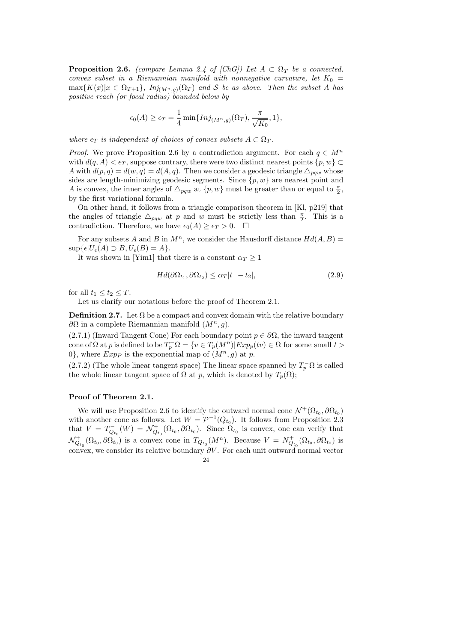**Proposition 2.6.** *(compare Lemma 2.4 of [ChG]) Let*  $A \subset \Omega_T$  *be a connected, convex subset in a Riemannian manifold with nonnegative curvature, let*  $K_0$  =  $\max\{K(x)|x \in \Omega_{T+1}\}\$ ,  $Inj_{(M^n,g)}(\Omega_T)$  and S be as above. Then the subset A has *positive reach (or focal radius) bounded below by*

$$
\epsilon_0(A) \ge \epsilon_T = \frac{1}{4} \min\{Inj_{(M^n,g)}(\Omega_T), \frac{\pi}{\sqrt{K_0}}, 1\},\
$$

where  $\epsilon_T$  *is independent of choices of convex subsets*  $A \subset \Omega_T$ *.* 

*Proof.* We prove Proposition 2.6 by a contradiction argument. For each  $q \in M^n$ with  $d(q, A) < \epsilon_T$ , suppose contrary, there were two distinct nearest points  $\{p, w\} \subset$ A with  $d(p,q) = d(w,q) = d(A,q)$ . Then we consider a geodesic triangle  $\triangle_{\text{pow}}$  whose sides are length-minimizing geodesic segments. Since  $\{p, w\}$  are nearest point and A is convex, the inner angles of  $\triangle_{pqw}$  at  $\{p, w\}$  must be greater than or equal to  $\frac{\pi}{2}$ , by the first variational formula.

On other hand, it follows from a triangle comparison theorem in [Kl, p219] that the angles of triangle  $\triangle_{pqw}$  at p and w must be strictly less than  $\frac{\pi}{2}$ . This is a contradiction. Therefore, we have  $\epsilon_0(A) \geq \epsilon_T > 0$ .  $\Box$ 

For any subsets A and B in  $M^n$ , we consider the Hausdorff distance  $Hd(A, B)$  =  $\sup\{\epsilon | U_{\epsilon}(A) \supset B, U_{\epsilon}(B) = A\}.$ 

It was shown in [Yim1] that there is a constant  $\alpha_T \geq 1$ 

$$
Hd(\partial \Omega_{t_1}, \partial \Omega_{t_2}) \le \alpha_T |t_1 - t_2|,\tag{2.9}
$$

for all  $t_1 \leq t_2 \leq T$ .

Let us clarify our notations before the proof of Theorem 2.1.

**Definition 2.7.** Let  $\Omega$  be a compact and convex domain with the relative boundary  $\partial\Omega$  in a complete Riemannian manifold  $(M^n, q)$ .

(2.7.1) (Inward Tangent Cone) For each boundary point  $p \in \partial\Omega$ , the inward tangent cone of  $\Omega$  at p is defined to be  $T_p^{\perp} \Omega = \{v \in T_p(M^n) | Exp_p(tv) \in \Omega \text{ for some small } t >$ 0}, where  $Exp_P$  is the exponential map of  $(M^n, g)$  at p.

(2.7.2) (The whole linear tangent space) The linear space spanned by  $T_p^-\Omega$  is called the whole linear tangent space of  $\Omega$  at p, which is denoted by  $T_p(\Omega)$ ;

#### **Proof of Theorem 2.1.**

We will use Proposition 2.6 to identify the outward normal cone  $\mathcal{N}^+(\Omega_{t_0}, \partial \Omega_{t_0})$ with another cone as follows. Let  $W = \mathcal{P}^{-1}(Q_{t_0})$ . It follows from Proposition 2.3 that  $V = T_{Q_{t_0}}^-(W) = \mathcal{N}_{Q_{t_0}}^+(\Omega_{t_0}, \partial \Omega_{t_0})$ . Since  $\Omega_{t_0}$  is convex, one can verify that  $\mathcal{N}^+_{Q_{t_0}}(\Omega_{t_0}, \partial \Omega_{t_0})$  is a convex cone in  $T_{Q_{t_0}}(M^n)$ . Because  $V = N^+_{Q_{t_0}}(\Omega_{t_0}, \partial \Omega_{t_0})$  is convex, we consider its relative boundary  $\partial V$ . For each unit outward normal vector  $24$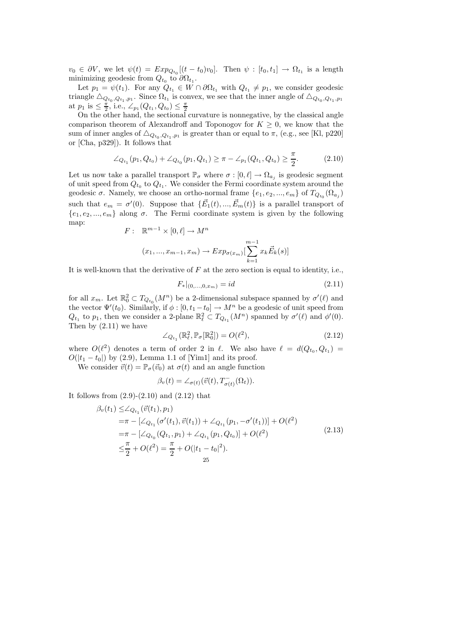$v_0 \in \partial V$ , we let  $\psi(t) = Exp_{Q_{t_0}}[(t-t_0)v_0]$ . Then  $\psi : [t_0, t_1] \to \Omega_{t_1}$  is a length minimizing geodesic from  $Q_{t_0}$  to  $\partial\Omega_{t_1}$ .

Let  $p_1 = \psi(t_1)$ . For any  $Q_{t_1} \in W \cap \partial \Omega_{t_1}$  with  $Q_{t_1} \neq p_1$ , we consider geodesic triangle  $\Delta_{Q_{t_0},Q_{t_1},p_1}$ . Since  $\Omega_{t_1}$  is convex, we see that the inner angle of  $\Delta_{Q_{t_0},Q_{t_1},p_1}$ at  $p_1$  is  $\leq \frac{\pi}{2}$ , i.e.,  $\angle_{p_1}(Q_{t_1}, Q_{t_0}) \leq \frac{\pi}{2}$ 

On the other hand, the sectional curvature is nonnegative, by the classical angle comparison theorem of Alexandroff and Toponogov for  $K \geq 0$ , we know that the sum of inner angles of  $\Delta_{Q_{t_0},Q_{t_1},p_1}$  is greater than or equal to  $\pi$ , (e.g., see [Kl, p220] or [Cha, p329]). It follows that

$$
\angle_{Q_{t_1}}(p_1, Q_{t_0}) + \angle_{Q_{t_0}}(p_1, Q_{t_1}) \ge \pi - \angle_{p_1}(Q_{t_1}, Q_{t_0}) \ge \frac{\pi}{2}.
$$
 (2.10)

Let us now take a parallel transport  $\mathbb{P}_{\sigma}$  where  $\sigma : [0, \ell] \to \Omega_{a_j}$  is geodesic segment of unit speed from  $Q_{t_0}$  to  $Q_{t_1}$ . We consider the Fermi coordinate system around the geodesic  $\sigma$ . Namely, we choose an ortho-normal frame  $\{e_1, e_2, ..., e_m\}$  of  $T_{Q_{t_0}}(\Omega_{a_j})$ such that  $e_m = \sigma'(0)$ . Suppose that  $\{\vec{E_1}(t),...,\vec{E_m}(t)\}\)$  is a parallel transport of  ${e_1, e_2, ..., e_m}$  along  $\sigma$ . The Fermi coordinate system is given by the following map:  $F: \mathbb{R}^{m-1} \times [0, \ell] \to M^n$ 

: 
$$
\mathbb{R}^{m-1} \times [0, \ell] \to M^n
$$
  
\n $(x_1, ..., x_{m-1}, x_m) \to Exp_{\sigma(x_m)}[\sum_{k=1}^{m-1} x_k \vec{E}_k(s)]$ 

It is well-known that the derivative of  $F$  at the zero section is equal to identity, i.e.,

$$
F_*|_{(0,\ldots,0,x_m)} = id
$$
\n(2.11)

for all  $x_m$ . Let  $\mathbb{R}^2_0 \subset T_{Q_{t_0}}(M^n)$  be a 2-dimensional subspace spanned by  $\sigma'(\ell)$  and the vector  $\Psi'(t_0)$ . Similarly, if  $\phi : [0, t_1 - t_0] \to M^n$  be a geodesic of unit speed from  $Q_{t_1}$  to  $p_1$ , then we consider a 2-plane  $\mathbb{R}^2_{\ell} \subset T_{Q_{t_1}}(M^n)$  spanned by  $\sigma'(\ell)$  and  $\phi'(0)$ . Then by  $(2.11)$  we have

$$
\angle_{Q_{t_1}}(\mathbb{R}_{\ell}^2, \mathbb{P}_{\sigma}[\mathbb{R}_0^2]) = O(\ell^2),\tag{2.12}
$$

where  $O(\ell^2)$  denotes a term of order 2 in  $\ell$ . We also have  $\ell = d(Q_{t_0}, Q_{t_1})$  $O(|t_1-t_0|)$  by (2.9), Lemma 1.1 of [Yim1] and its proof.

We consider  $\vec{v}(t) = \mathbb{P}_{\sigma}(\vec{v}_0)$  at  $\sigma(t)$  and an angle function

$$
\beta_v(t) = \angle_{\sigma(t)}(\vec{v}(t), T_{\sigma(t)}^-(\Omega_t)).
$$

It follows from  $(2.9)-(2.10)$  and  $(2.12)$  that

$$
\beta_v(t_1) \leq \angle_{Q_{t_1}}(\vec{v}(t_1), p_1)
$$
\n
$$
= \pi - [\angle_{Q_{t_1}}(\sigma'(t_1), \vec{v}(t_1)) + \angle_{Q_{t_1}}(p_1, -\sigma'(t_1))] + O(\ell^2)
$$
\n
$$
= \pi - [\angle_{Q_{t_0}}(Q_{t_1}, p_1) + \angle_{Q_{t_1}}(p_1, Q_{t_0})] + O(\ell^2)
$$
\n
$$
\leq \frac{\pi}{2} + O(\ell^2) = \frac{\pi}{2} + O(|t_1 - t_0|^2).
$$
\n(2.13)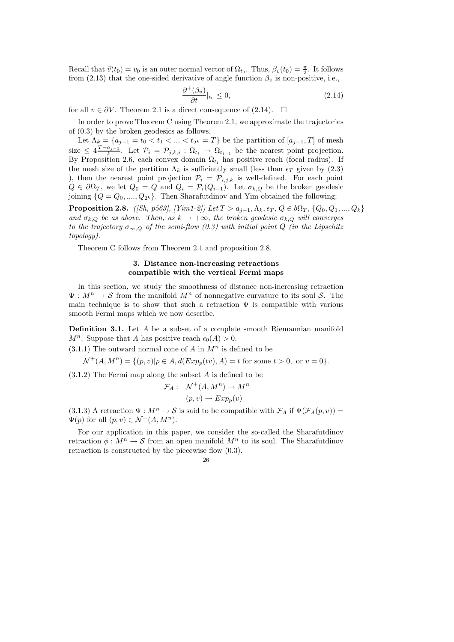Recall that  $\vec{v}(t_0) = v_0$  is an outer normal vector of  $\Omega_{t_0}$ . Thus,  $\beta_v(t_0) = \frac{\pi}{2}$ . It follows from (2.13) that the one-sided derivative of angle function  $\beta_v$  is non-positive, i.e.,

$$
\frac{\partial^+(\beta_v)}{\partial t}|_{t_0} \le 0,\tag{2.14}
$$

for all  $v \in \partial V$ . Theorem 2.1 is a direct consequence of (2.14).  $\Box$ 

In order to prove Theorem C using Theorem 2.1, we approximate the trajectories of (0.3) by the broken geodesics as follows.

Let  $\Lambda_k = \{a_{j-1} = t_0 < t_1 < ... < t_{2^k} = T\}$  be the partition of  $[a_{j-1}, T]$  of mesh size  $\leq 4 \frac{T - a_{j-1}}{k}$ . Let  $\mathcal{P}_i = \mathcal{P}_{j,k,i} : \Omega_{t_i} \to \Omega_{t_{i-1}}$  be the nearest point projection. By Proposition 2.6, each convex domain  $\Omega_{t_i}$  has positive reach (focal radius). If the mesh size of the partition  $\Lambda_k$  is sufficiently small (less than  $\epsilon_T$  given by (2.3) ), then the nearest point projection  $\mathcal{P}_i = \mathcal{P}_{i,j,k}$  is well-defined. For each point  $Q \in \partial \Omega_T$ , we let  $Q_0 = Q$  and  $Q_i = \mathcal{P}_i(Q_{i-1})$ . Let  $\sigma_{k,Q}$  be the broken geodesic joining  $\{Q = Q_0, ..., Q_{2^k}\}\$ . Then Sharafutdinov and Yim obtained the following:

 ${\bf Proposition \ 2.8.} \ \ ([Sh, \ p563], \ [Yim1-2]) \ Let \ T > a_{j-1}, \Lambda_k, \epsilon_T, \ Q \in b\Omega_T, \ \{Q_0, Q_1, ..., Q_k\}$ *and*  $\sigma_{k,Q}$  *be as above. Then, as*  $k \to +\infty$ *, the broken geodesic*  $\sigma_{k,Q}$  *will converges to the trajectory*  $\sigma_{\infty,Q}$  *of the semi-flow* (0.3) with initial point Q (in the Lipschitz *topology).*

Theorem C follows from Theorem 2.1 and proposition 2.8.

#### **3. Distance non-increasing retractions compatible with the vertical Fermi maps**

In this section, we study the smoothness of distance non-increasing retraction  $\Psi: M^n \to \mathcal{S}$  from the manifold  $M^n$  of nonnegative curvature to its soul  $\mathcal{S}$ . The main technique is to show that such a retraction  $\Psi$  is compatible with various smooth Fermi maps which we now describe.

**Definition 3.1.** Let A be a subset of a complete smooth Riemannian manifold  $M^n$ . Suppose that A has positive reach  $\epsilon_0(A) > 0$ .

 $(3.1.1)$  The outward normal cone of A in  $M<sup>n</sup>$  is defined to be

$$
\mathcal{N}^+(A, M^n) = \{ (p, v) | p \in A, d(Exp_p(tv), A) = t \text{ for some } t > 0, \text{ or } v = 0 \}.
$$

(3.1.2) The Fermi map along the subset A is defined to be

$$
\mathcal{F}_A: \quad \mathcal{N}^+(A, M^n) \to M^n
$$

$$
(p, v) \to Exp_p(v)
$$

(3.1.3) A retraction  $\Psi : M^n \to \mathcal{S}$  is said to be compatible with  $\mathcal{F}_A$  if  $\Psi(\mathcal{F}_A(p, v)) =$  $\Psi(p)$  for all  $(p, v) \in \mathcal{N}^+(A, M^n)$ .

For our application in this paper, we consider the so-called the Sharafutdinov retraction  $\phi: M^n \to \mathcal{S}$  from an open manifold  $M^n$  to its soul. The Sharafutdinov retraction is constructed by the piecewise flow (0.3).

$$
^{26}
$$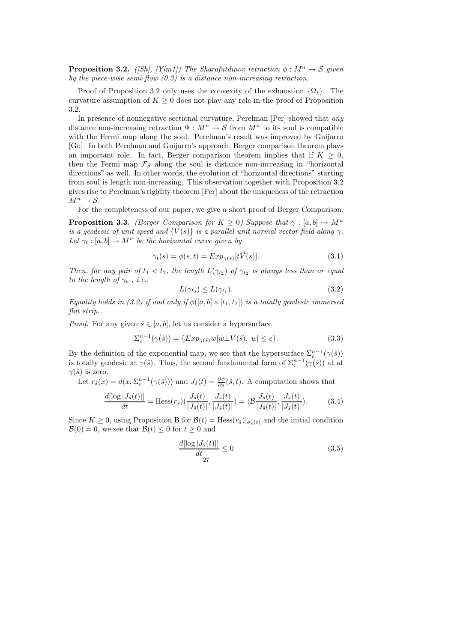**Proposition 3.2.** *([Sh], [Yim1])* The Sharafutdinov retraction  $\phi : M^n \to S$  given *by the piece-wise semi-flow (0.3) is a distance non-increasing retraction.*

Proof of Proposition 3.2 only uses the convexity of the exhaustion  $\{\Omega_t\}$ . The curvature assumption of  $K \geq 0$  does not play any role in the proof of Proposition 3.2.

In presence of nonnegative sectional curvature, Perelman [Per] showed that *any* distance non-increasing retraction  $\Psi : M^n \to \mathcal{S}$  from  $M^n$  to its soul is compatible with the Fermi map along the soul. Perelman's result was improved by Guijarro [Gu]. In both Perelman and Guijarro's approach, Berger comparison theorem plays an important role. In fact, Berger comparison theorem implies that if  $K \geq 0$ , then the Fermi map  $\mathcal{F}_S$  along the soul is distance non-increasing in "horizontal" directions" as well. In other words, the evolution of "horizontal directions" starting from soul is length non-increasing. This observation together with Proposition 3.2 gives rise to Perelman's rigidity theorem [Per] about the uniqueness of the retraction  $M^n \to \mathcal{S}.$ 

For the completeness of our paper, we give a short proof of Berger Comparison.

**Proposition 3.3.** *(Berger Comparison for*  $K \geq 0$ *) Suppose that*  $\gamma : [a, b] \rightarrow M^n$ *is a geodesic of unit speed and*  $\{V(s)\}\$ *is a parallel unit normal vector field along*  $\gamma$ *.* Let  $\gamma_t : [a, b] \to M^n$  *be the horizontal curve given by* 

$$
\gamma_t(s) = \phi(s, t) = Exp_{\gamma(s)}[t\vec{V}(s)].\tag{3.1}
$$

*Then, for any pair of*  $t_1 < t_2$ *, the length*  $L(\gamma_{t_2})$  *of*  $\gamma_{t_2}$  *is always less than or equal to the length of*  $\gamma_{t_1}$ *, i.e.,* 

$$
L(\gamma_{t_2}) \le L(\gamma_{t_1}).\tag{3.2}
$$

*Equality holds in (3.2) if and only if*  $\phi([a, b] \times [t_1, t_2])$  *is a totally geodesic immersed flat strip.*

*Proof.* For any given  $\hat{s} \in [a, b]$ , let us consider a hypersurface

$$
\Sigma_{\epsilon}^{n-1}(\gamma(\hat{s})) = \{Exp_{\gamma(\hat{s})}w|w \perp V(\hat{s}), |w| \le \epsilon\}.
$$
\n(3.3)

By the definition of the exponential map, we see that the hypersurface  $\Sigma_{\epsilon}^{n-1}(\gamma(\hat{s}))$ is totally geodesic at  $\gamma(\hat{s})$ . Thus, the second fundamental form of  $\sum_{\epsilon}^{n-1} (\gamma(\hat{s}))$  at at  $\gamma(\hat{s})$  is zero.

Let 
$$
r_{\hat{s}}(x) = d(x, \Sigma_{\epsilon}^{n-1}(\gamma(\hat{s})))
$$
 and  $J_{\hat{s}}(t) = \frac{\partial \phi}{\partial s}(\hat{s}, t)$ . A computation shows that

$$
\frac{d[\log|J_{\hat{s}}(t)||]}{dt} = \text{Hess}(r_{\hat{s}})(\frac{J_{\hat{s}}(t)}{|J_{\hat{s}}(t)|}, \frac{J_{\hat{s}}(t)}{|J_{\hat{s}}(t)|}) = \langle \mathcal{B}\frac{J_{\hat{s}}(t)}{|J_{\hat{s}}(t)|}, \frac{J_{\hat{s}}(t)}{|J_{\hat{s}}(t)|}\rangle. \tag{3.4}
$$

Since  $K \geq 0$ , using Proposition B for  $\mathcal{B}(t) = \text{Hess}(r_{\hat{s}})|_{\sigma_{\hat{s}}(t)}$  and the initial condition  $\mathcal{B}(0) = 0$ , we see that  $\mathcal{B}(t) \leq 0$  for  $t \geq 0$  and

$$
\frac{d[\log|J_{\hat{s}}(t)|]}{dt} \le 0\tag{3.5}
$$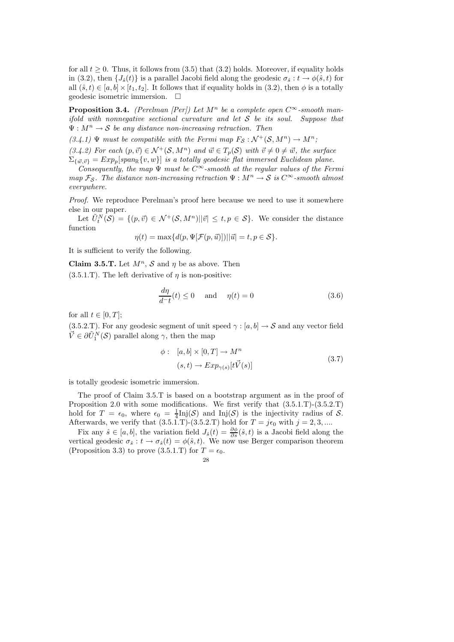for all  $t > 0$ . Thus, it follows from (3.5) that (3.2) holds. Moreover, if equality holds in (3.2), then  $\{J_{\hat{s}}(t)\}\$ is a parallel Jacobi field along the geodesic  $\sigma_{\hat{s}}: t \to \phi(\hat{s}, t)$  for all  $(\hat{s}, t) \in [a, b] \times [t_1, t_2]$ . It follows that if equality holds in (3.2), then  $\phi$  is a totally geodesic isometric immersion.  $\square$ 

**Proposition 3.4.** *(Perelman [Per])* Let  $M^n$  be a complete open  $C^\infty$ -smooth man*ifold with nonnegative sectional curvature and let* S *be its soul. Suppose that*  $\Psi : M^n \to \mathcal{S}$  *be any distance non-increasing retraction. Then* 

 $(3.4.1)$  Ψ *must be compatible with the Fermi map*  $F_S : \mathcal{N}^+ (\mathcal{S}, M^n) \to M^n$ ;

*(3.4.2)* For each  $(p, \vec{v}) \in \mathcal{N}^+(\mathcal{S}, M^n)$  and  $\vec{w} \in T_p(\mathcal{S})$  with  $\vec{v} \neq 0 \neq \vec{w}$ , the surface  $\Sigma_{\{\vec{w},\vec{v}\}} = Exp_p[span_{\mathbb{R}}\{v,w\}]$  *is a totally geodesic flat immersed Euclidean plane.* 

*Consequently, the map*  $\Psi$  *must be*  $C^{\infty}$ *-smooth at the regular values of the Fermi map*  $\mathcal{F}_{\mathcal{S}}$ *. The distance non-increasing retraction*  $\Psi : M^n \to \mathcal{S}$  *is*  $C^{\infty}$ *-smooth almost everywhere.*

*Proof.* We reproduce Perelman's proof here because we need to use it somewhere else in our paper.

Let  $\tilde{U}_{t}^{N}(\mathcal{S}) = \{(p, \vec{v}) \in \mathcal{N}^{+}(\mathcal{S}, M^{n}) | |\vec{v}| \leq t, p \in \mathcal{S}\}\.$  We consider the distance function

$$
\eta(t) = \max\{d(p, \Psi[\mathcal{F}(p, \vec{u})])||\vec{u}| = t, p \in \mathcal{S}\}.
$$

It is sufficient to verify the following.

**Claim 3.5.T.** Let  $M^n$ , S and  $\eta$  be as above. Then  $(3.5.1.\text{T})$ . The left derivative of  $\eta$  is non-positive:

$$
\frac{d\eta}{d-t}(t) \le 0 \quad \text{and} \quad \eta(t) = 0 \tag{3.6}
$$

for all  $t \in [0, T]$ ;

(3.5.2.T). For any geodesic segment of unit speed  $\gamma : [a, b] \to S$  and any vector field  $\vec{V} \in \partial \tilde{U}_1^N(\mathcal{S})$  parallel along  $\gamma$ , then the map

$$
\phi: \quad [a, b] \times [0, T] \to M^n
$$
  

$$
(s, t) \to Exp_{\gamma(s)}[t\vec{V}(s)]
$$
 (3.7)

is totally geodesic isometric immersion.

The proof of Claim 3.5.T is based on a bootstrap argument as in the proof of Proposition 2.0 with some modifications. We first verify that  $(3.5.1 \text{·T})$ - $(3.5.2 \text{·T})$ hold for  $T = \epsilon_0$ , where  $\epsilon_0 = \frac{1}{4}$ Inj $(\mathcal{S})$  and Inj $(\mathcal{S})$  is the injectivity radius of  $\mathcal{S}$ . Afterwards, we verify that  $(3.5.1.\text{T})$ - $(3.5.2.\text{T})$  hold for  $T = j\epsilon_0$  with  $j = 2, 3, ...$ 

Fix any  $\hat{s} \in [a, b]$ , the variation field  $J_{\hat{s}}(t) = \frac{\partial \phi}{\partial s}(\hat{s}, t)$  is a Jacobi field along the vertical geodesic  $\sigma_{\hat{s}}: t \to \sigma_{\hat{s}}(t) = \phi(\hat{s}, t)$ . We now use Berger comparison theorem (Proposition 3.3) to prove (3.5.1.T) for  $T = \epsilon_0$ .

$$
28\\
$$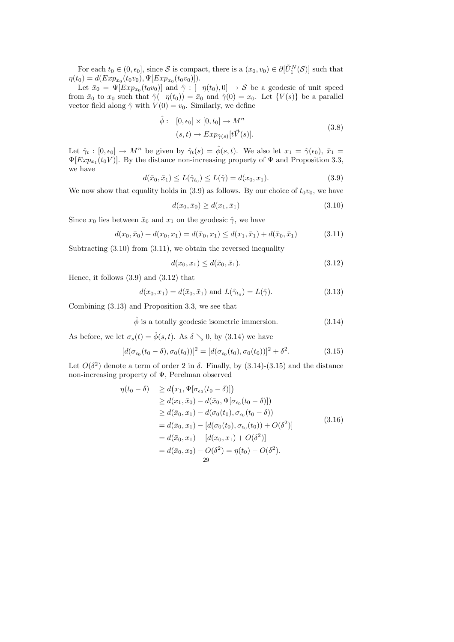For each  $t_0 \in (0, \epsilon_0]$ , since S is compact, there is a  $(x_0, v_0) \in \partial[\tilde{U}_1^N(\mathcal{S})]$  such that  $\eta(t_0) = d(Exp_{x_0}(t_0v_0), \Psi[Exp_{x_0}(t_0v_0)]).$ 

Let  $\bar{x}_0 = \Psi[\widetilde{Exp_{x_0}(t_0v_0)}]$  and  $\hat{\gamma}: [-\eta(t_0), 0] \to \mathcal{S}$  be a geodesic of unit speed from  $\bar{x}_0$  to  $x_0$  such that  $\hat{\gamma}(-\eta(t_0)) = \bar{x}_0$  and  $\hat{\gamma}(0) = x_0$ . Let  $\{V(s)\}\$ be a parallel vector field along  $\hat{\gamma}$  with  $V(0) = v_0$ . Similarly, we define

$$
\hat{\phi}: [0, \epsilon_0] \times [0, t_0] \to M^n
$$
  
(s, t) \to Exp<sub>\hat{\gamma}(s)</sub> [t $\vec{V}(s)$ ]. (3.8)

Let  $\hat{\gamma}_t : [0, \epsilon_0] \to M^n$  be given by  $\hat{\gamma}_t(s) = \hat{\phi}(s, t)$ . We also let  $x_1 = \hat{\gamma}(\epsilon_0)$ ,  $\bar{x}_1 =$  $\Psi[Exp_{x_1}(t_0V)]$ . By the distance non-increasing property of  $\Psi$  and Proposition 3.3, we have

$$
d(\bar{x}_0, \bar{x}_1) \le L(\hat{\gamma}_{t_0}) \le L(\hat{\gamma}) = d(x_0, x_1). \tag{3.9}
$$

We now show that equality holds in (3.9) as follows. By our choice of  $t_0v_0$ , we have

$$
d(x_0, \bar{x}_0) \ge d(x_1, \bar{x}_1) \tag{3.10}
$$

Since  $x_0$  lies between  $\bar{x}_0$  and  $x_1$  on the geodesic  $\hat{\gamma}$ , we have

$$
d(x_0, \bar{x}_0) + d(x_0, x_1) = d(\bar{x}_0, x_1) \le d(x_1, \bar{x}_1) + d(\bar{x}_0, \bar{x}_1)
$$
\n(3.11)

Subtracting  $(3.10)$  from  $(3.11)$ , we obtain the reversed inequality

$$
d(x_0, x_1) \le d(\bar{x}_0, \bar{x}_1). \tag{3.12}
$$

Hence, it follows (3.9) and (3.12) that

$$
d(x_0, x_1) = d(\bar{x}_0, \bar{x}_1) \text{ and } L(\hat{\gamma}_{t_0}) = L(\hat{\gamma}).
$$
\n(3.13)

Combining (3.13) and Proposition 3.3, we see that

$$
\hat{\phi} \text{ is a totally geodesic isometric immersion.} \tag{3.14}
$$

As before, we let  $\sigma_s(t) = \hat{\phi}(s, t)$ . As  $\delta \searrow 0$ , by (3.14) we have

$$
[d(\sigma_{\epsilon_0}(t_0 - \delta), \sigma_0(t_0))]^2 = [d(\sigma_{\epsilon_0}(t_0), \sigma_0(t_0))]^2 + \delta^2.
$$
 (3.15)

Let  $O(\delta^2)$  denote a term of order 2 in  $\delta$ . Finally, by (3.14)-(3.15) and the distance non-increasing property of Ψ, Perelman observed

$$
\eta(t_0 - \delta) \ge d(x_1, \Psi[\sigma_{\epsilon_0}(t_0 - \delta)])
$$
  
\n
$$
\ge d(x_1, \bar{x}_0) - d(\bar{x}_0, \Psi[\sigma_{\epsilon_0}(t_0 - \delta)])
$$
  
\n
$$
\ge d(\bar{x}_0, x_1) - d(\sigma_0(t_0), \sigma_{\epsilon_0}(t_0 - \delta))
$$
  
\n
$$
= d(\bar{x}_0, x_1) - [d(\sigma_0(t_0), \sigma_{\epsilon_0}(t_0)) + O(\delta^2)]
$$
  
\n
$$
= d(\bar{x}_0, x_1) - [d(x_0, x_1) + O(\delta^2)]
$$
  
\n
$$
= d(\bar{x}_0, x_0) - O(\delta^2) = \eta(t_0) - O(\delta^2).
$$
\n(3.16)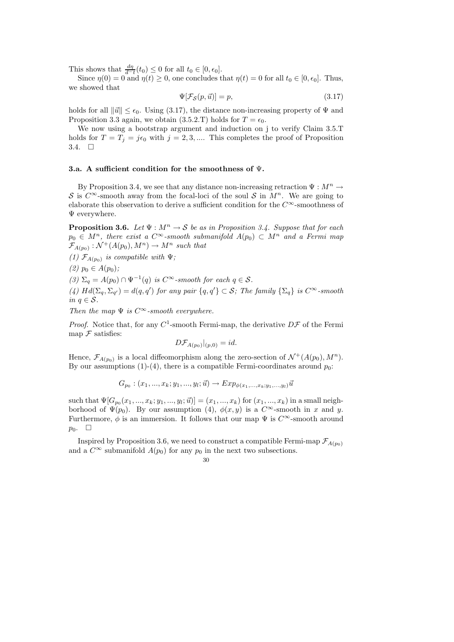This shows that  $\frac{d\eta}{d-t}(t_0) \leq 0$  for all  $t_0 \in [0, \epsilon_0]$ .

Since  $\eta(0) = 0$  and  $\eta(t) \ge 0$ , one concludes that  $\eta(t) = 0$  for all  $t_0 \in [0, \epsilon_0]$ . Thus, we showed that

$$
\Psi[\mathcal{F}_{\mathcal{S}}(p,\vec{u})] = p,\tag{3.17}
$$

holds for all  $\|\vec{u}\| \leq \epsilon_0$ . Using (3.17), the distance non-increasing property of  $\Psi$  and Proposition 3.3 again, we obtain  $(3.5.2.T)$  holds for  $T = \epsilon_0$ .

We now using a bootstrap argument and induction on j to verify Claim 3.5.T holds for  $T = T_j = j\epsilon_0$  with  $j = 2, 3, \dots$  This completes the proof of Proposition 3.4.  $\square$ 

#### **3.a. A sufficient condition for the smoothness of** Ψ**.**

By Proposition 3.4, we see that any distance non-increasing retraction  $\Psi : M^n \to$ S is  $C^{\infty}$ -smooth away from the focal-loci of the soul S in  $M^n$ . We are going to elaborate this observation to derive a sufficient condition for the  $C^{\infty}$ -smoothness of Ψ everywhere.

**Proposition 3.6.** *Let*  $\Psi : M^n \to S$  *be as in Proposition 3.4. Suppose that for each*  $p_0 \in M^n$ , there exist a  $C^{\infty}$ -smooth submanifold  $A(p_0) \subset M^n$  and a Fermi map  $\mathcal{F}_{A(p_0)} : \mathcal{N}^+(A(p_0), M^n) \to M^n$  such that

*(1)*  $\mathcal{F}_{A(p_0)}$  *is compatible with*  $\Psi$ *;*  $(2)$   $p_0 \in A(p_0)$ ;  $(3)$   $\Sigma_q = A(p_0) \cap \Psi^{-1}(q)$  *is*  $C^{\infty}$ -smooth for each  $q \in \mathcal{S}$ .  $(4)$   $Hd(\Sigma_q, \Sigma_{q'}) = d(q, q')$  *for any pair*  $\{q, q'\} \subset S$ *; The family*  $\{\Sigma_q\}$  *is*  $C^{\infty}$ *-smooth in*  $q \in \mathcal{S}$ *.* 

*Then the map*  $\Psi$  *is*  $C^{\infty}$ -smooth everywhere.

*Proof.* Notice that, for any  $C^1$ -smooth Fermi-map, the derivative  $D\mathcal{F}$  of the Fermi map  $\mathcal F$  satisfies:

$$
D\mathcal{F}_{A(p_0)}|_{(p,0)} = id.
$$

Hence,  $\mathcal{F}_{A(p_0)}$  is a local diffeomorphism along the zero-section of  $\mathcal{N}^+(A(p_0), M^n)$ . By our assumptions (1)-(4), there is a compatible Fermi-coordinates around  $p_0$ :

$$
G_{p_0} : (x_1, ..., x_k; y_1, ..., y_l; \vec{u}) \to Exp_{\phi(x_1, ..., x_k; y_1, ..., y_l)} \vec{u}
$$

such that  $\Psi[G_{p_0}(x_1, ..., x_k; y_1, ..., y_l; \vec{u})] = (x_1, ..., x_k)$  for  $(x_1, ..., x_k)$  in a small neighborhood of  $\Psi(p_0)$ . By our assumption (4),  $\phi(x, y)$  is a  $C^{\infty}$ -smooth in x and y. Furthermore,  $\phi$  is an immersion. It follows that our map  $\Psi$  is  $C^{\infty}$ -smooth around  $p_0$ .  $\Box$ 

Inspired by Proposition 3.6, we need to construct a compatible Fermi-map  $\mathcal{F}_{A(p_0)}$ and a  $C^{\infty}$  submanifold  $A(p_0)$  for any  $p_0$  in the next two subsections.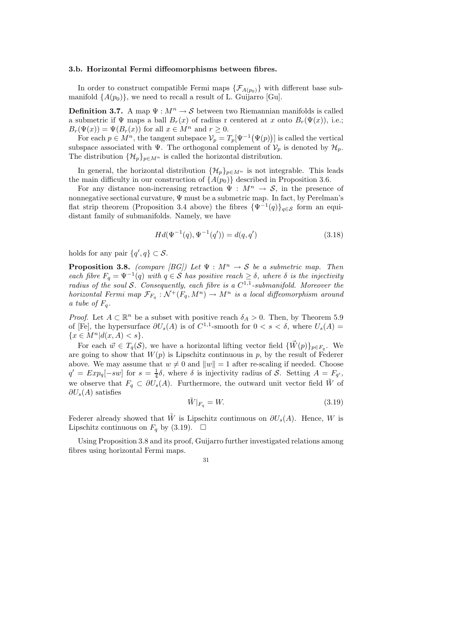#### **3.b. Horizontal Fermi diffeomorphisms between fibres.**

In order to construct compatible Fermi maps  $\{\mathcal{F}_{A(p_0)}\}$  with different base submanifold  $\{A(p_0)\}\)$ , we need to recall a result of L. Guijarro [Gu].

**Definition 3.7.** A map  $\Psi : M^n \to \mathcal{S}$  between two Riemannian manifolds is called a submetric if  $\Psi$  maps a ball  $B_r(x)$  of radius r centered at x onto  $B_r(\Psi(x))$ , i.e.;  $B_r(\Psi(x)) = \Psi(B_r(x))$  for all  $x \in M^n$  and  $r \geq 0$ .

For each  $p \in M^n$ , the tangent subspace  $\mathcal{V}_p = T_p[\Psi^{-1}(\Psi(p))]$  is called the vertical subspace associated with Ψ. The orthogonal complement of  $V_p$  is denoted by  $\mathcal{H}_p$ . The distribution  $\{\mathcal{H}_p\}_{p\in M^n}$  is called the horizontal distribution.

In general, the horizontal distribution  $\{\mathcal{H}_p\}_{p\in M^n}$  is not integrable. This leads the main difficulty in our construction of  ${A(p_0)}$  described in Proposition 3.6.

For any distance non-increasing retraction  $\Psi : M^n \to \mathcal{S}$ , in the presence of nonnegative sectional curvature, Ψ must be a submetric map. In fact, by Perelman's flat strip theorem (Proposition 3.4 above) the fibres  ${\Psi^{-1}(q)}_{q\in\mathcal{S}}$  form an equidistant family of submanifolds. Namely, we have

$$
Hd(\Psi^{-1}(q), \Psi^{-1}(q')) = d(q, q') \tag{3.18}
$$

holds for any pair  $\{q', q\} \subset \mathcal{S}$ .

**Proposition 3.8.** *(compare [BG])* Let  $\Psi : M^n \to S$  be a submetric map. Then *each fibre*  $F_q = \Psi^{-1}(q)$  *with*  $q \in S$  *has positive reach*  $\geq \delta$ *, where*  $\delta$  *is the injectivity radius of the soul* S. Consequently, each fibre is a  $C^{1,1}$ -submanifold. Moreover the *horizontal Fermi map*  $\mathcal{F}_{F_q}: \mathcal{N}^+(F_q, M^n) \to M^n$  *is a local diffeomorphism around a tube of*  $F_q$ .

*Proof.* Let  $A \subset \mathbb{R}^n$  be a subset with positive reach  $\delta_A > 0$ . Then, by Theorem 5.9 of [Fe], the hypersurface  $\partial U_s(A)$  is of  $C^{1,1}$ -smooth for  $0 < s < \delta$ , where  $U_s(A) =$  ${x \in M^n | d(x, A) < s}.$ 

For each  $\vec{w} \in T_q(\mathcal{S})$ , we have a horizontal lifting vector field  $\{\vec{W}(p)\}_{p \in F_q}$ . We are going to show that  $W(p)$  is Lipschitz continuous in p, by the result of Federer above. We may assume that  $w \neq 0$  and  $||w|| = 1$  after re-scaling if needed. Choose  $q' = Exp_q[-sw]$  for  $s = \frac{1}{4}\delta$ , where  $\delta$  is injectivity radius of S. Setting  $A = F_{q'}$ , we observe that  $F_q \,\subset \partial U_s(A)$ . Furthermore, the outward unit vector field W of  $\partial U_s(A)$  satisfies

$$
\tilde{W}|_{F_q} = W.\tag{3.19}
$$

Federer already showed that  $\tilde{W}$  is Lipschitz continuous on  $\partial U_s(A)$ . Hence, W is Lipschitz continuous on  $F_q$  by (3.19).  $\Box$ 

Using Proposition 3.8 and its proof, Guijarro further investigated relations among fibres using horizontal Fermi maps.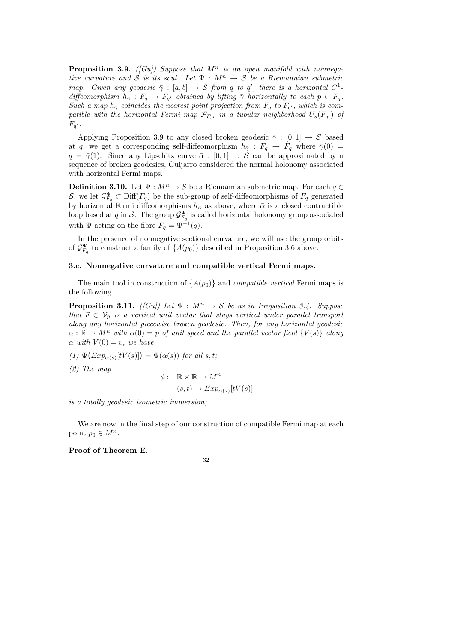**Proposition 3.9.** *([Gu])* Suppose that  $M^n$  is an open manifold with nonnega*tive curvature and*  $S$  *is its soul. Let*  $\Psi : M^n \to S$  *be a Riemannian submetric map.* Given any geodesic  $\bar{\gamma}$  :  $[a, b] \rightarrow S$  from q to q', there is a horizontal  $C^1$ *diffeomorphism*  $h_{\bar{\gamma}} : F_q \to F_{q'}$  *obtained by lifting*  $\bar{\gamma}$  *horizontally to each*  $p \in F_q$ *.* Such a map  $h_{\bar{\gamma}}$  *coincides the nearest point projection from*  $F_q$  *to*  $F_{q'}$ *, which is compatible with the horizontal Fermi map*  $\mathcal{F}_{F_{\alpha'}}$  *in a tubular neighborhood*  $U_s(F_{q'})$  *of*  $F_{q'}$ .

Applying Proposition 3.9 to any closed broken geodesic  $\bar{\gamma} : [0,1] \rightarrow S$  based at q, we get a corresponding self-diffeomorphism  $h_{\bar{z}} : F_q \to F_q$  where  $\bar{z}(0) =$  $q = \bar{\gamma}(1)$ . Since any Lipschitz curve  $\bar{\alpha} : [0, 1] \rightarrow S$  can be approximated by a sequence of broken geodesics, Guijarro considered the normal holonomy associated with horizontal Fermi maps.

**Definition 3.10.** Let  $\Psi : M^n \to \mathcal{S}$  be a Riemannian submetric map. For each  $q \in \mathcal{S}$ S, we let  $\mathcal{G}_{F_q}^{\Psi} \subset \text{Diff}(F_q)$  be the sub-group of self-diffeomorphisms of  $F_q$  generated by horizontal Fermi diffeomorphisms  $h_{\bar{\alpha}}$  as above, where  $\bar{\alpha}$  is a closed contractible loop based at q in S. The group  $\mathcal{G}^{\Psi}_{F_q}$  is called horizontal holonomy group associated with  $\Psi$  acting on the fibre  $F_q = \Psi^{-1}(q)$ .

In the presence of nonnegative sectional curvature, we will use the group orbits of  $\mathcal{G}_{F_q}^{\Psi}$  to construct a family of  $\{A(p_0)\}\)$  described in Proposition 3.6 above.

#### **3.c. Nonnegative curvature and compatible vertical Fermi maps.**

The main tool in construction of  $\{A(p_0)\}\$ and *compatible vertical* Fermi maps is the following.

**Proposition 3.11.** *([Gu])* Let  $\Psi : M^n \to S$  be as in Proposition 3.4. Suppose *that*  $\vec{v} \in V_p$  *is a vertical unit vector that stays vertical under parallel transport along any horizontal piecewise broken geodesic. Then, for any horizontal geodesic*  $\alpha : \mathbb{R} \to M^n$  with  $\alpha(0) = p$  of unit speed and the parallel vector field  $\{V(s)\}\$  along  $\alpha$  *with*  $V(0) = v$ *, we have* 

(1)  $\Psi\big( Exp_{\alpha(s)}[tV(s)] \big) = \Psi(\alpha(s))$  *for all s, t;* 

*(2) The map*

$$
\begin{aligned} \phi: & \mathbb{R} \times \mathbb{R} \to M^n \\ (s, t) & \to \operatorname{Exp}_{\alpha(s)}[tV(s)] \end{aligned}
$$

*is a totally geodesic isometric immersion;*

We are now in the final step of our construction of compatible Fermi map at each point  $p_0 \in M^n$ .

**Proof of Theorem E.**

$$
^{32}
$$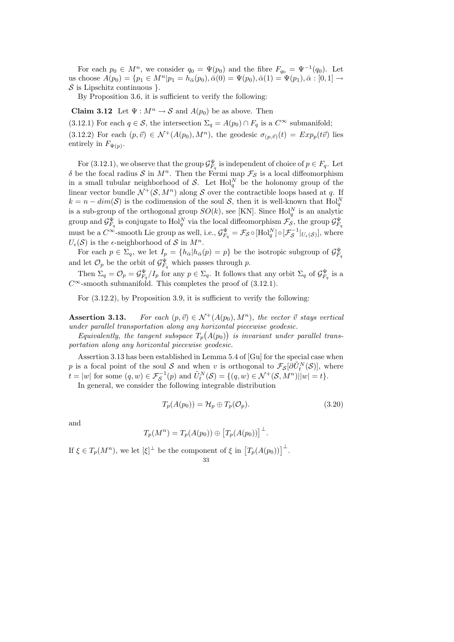For each  $p_0 \in M^n$ , we consider  $q_0 = \Psi(p_0)$  and the fibre  $F_{q_0} = \Psi^{-1}(q_0)$ . Let us choose  $A(p_0) = \{p_1 \in M^n | p_1 = h_{\bar{\alpha}}(p_0), \bar{\alpha}(0) = \Psi(p_0), \bar{\alpha}(1) = \Psi(p_1), \bar{\alpha} : [0,1] \to$  $S$  is Lipschitz continuous  $\}$ .

By Proposition 3.6, it is sufficient to verify the following:

**Claim 3.12** Let  $\Psi : M^n \to S$  and  $A(p_0)$  be as above. Then

(3.12.1) For each  $q \in \mathcal{S}$ , the intersection  $\Sigma_q = A(p_0) \cap F_q$  is a  $C^{\infty}$  submanifold;

 $(3.12.2)$  For each  $(p, \vec{v}) \in \mathcal{N}^+(A(p_0), M^n)$ , the geodesic  $\sigma_{(p, \vec{v})}(t) = Exp_p(t\vec{v})$  lies entirely in  $F_{\Psi(p)}$ .

For (3.12.1), we observe that the group  $\mathcal{G}_{F_q}^{\Psi}$  is independent of choice of  $p \in F_q$ . Let  $\delta$  be the focal radius S in  $M^n$ . Then the Fermi map  $\mathcal{F}_{\mathcal{S}}$  is a local diffeomorphism in a small tubular neighborhood of S. Let  $\text{Hol}_{q}^{N}$  be the holonomy group of the linear vector bundle  $\mathcal{N}^+(\mathcal{S}, M^n)$  along S over the contractible loops based at q. If  $k = n - dim(\mathcal{S})$  is the codimension of the soul  $\mathcal{S}$ , then it is well-known that  $Hol_q^N$ is a sub-group of the orthogonal group  $SO(k)$ , see [KN]. Since  $\text{Hol}_q^N$  is an analytic group and  $\mathcal{G}^{\Psi}_{F_q}$  is conjugate to  $\text{Hol}^N_q$  via the local diffeomorphism  $\mathcal{F}_{S}$ , the group  $\mathcal{G}^{\Psi}_{F_q}$ must be a  $C^{\infty}$ -smooth Lie group as well, i.e.,  $\mathcal{G}_{F_q}^{\Psi} = \mathcal{F}_{\mathcal{S}} \circ [\text{Hol}_{q}^{N}] \circ [\mathcal{F}_{\mathcal{S}}^{-1}|_{U_{\epsilon}(\mathcal{S})}]$ , where  $U_{\epsilon}(\mathcal{S})$  is the  $\epsilon$ -neighborhood of  $\mathcal{S}$  in  $M^n$ .

For each  $p \in \Sigma_q$ , we let  $I_p = \{h_{\bar{\alpha}} | h_{\bar{\alpha}}(p) = p\}$  be the isotropic subgroup of  $\mathcal{G}_{F_q}^{\Psi}$ and let  $\mathcal{O}_p$  be the orbit of  $\mathcal{G}_{F_q}^{\Psi}$  which passes through p.

Then  $\Sigma_q = \mathcal{O}_p = \mathcal{G}_{F_q}^{\Psi}/I_p$  for any  $p \in \Sigma_q$ . It follows that any orbit  $\Sigma_q$  of  $\mathcal{G}_{F_q}^{\Psi}$  is a  $C^{\infty}$ -smooth submanifold. This completes the proof of (3.12.1).

For (3.12.2), by Proposition 3.9, it is sufficient to verify the following:

**Assertion 3.13.** *For each*  $(p, \vec{v}) \in \mathcal{N}^+(A(p_0), M^n)$ *, the vector*  $\vec{v}$  *stays vertical under parallel transportation along any horizontal piecewise geodesic.*

Equivalently, the tangent subspace  $T_p(A(p_0))$  is invariant under parallel trans*portation along any horizontal piecewise geodesic.*

Assertion 3.13 has been established in Lemma 5.4 of [Gu] for the special case when p is a focal point of the soul S and when v is orthogonal to  $\mathcal{F}_{\mathcal{S}}[\partial \tilde{U}^N_t(\mathcal{S})]$ , where  $t = |w|$  for some  $(q, w) \in \mathcal{F}_{\mathcal{S}}^{-1}(p)$  and  $\tilde{U}_{t}^{N}(\mathcal{S}) = \{(q, w) \in \mathcal{N}^{+}(\mathcal{S}, M^{n})||w| = t\}.$ 

In general, we consider the following integrable distribution

$$
T_p(A(p_0)) = \mathcal{H}_p \oplus T_p(\mathcal{O}_p). \tag{3.20}
$$

and

$$
T_p(M^n) = T_p(A(p_0)) \oplus [T_p(A(p_0))]^{\perp}.
$$

If  $\xi \in T_p(M^n)$ , we let  $[\xi]^\perp$  be the component of  $\xi$  in  $[T_p(A(p_0))]^\perp$ . 33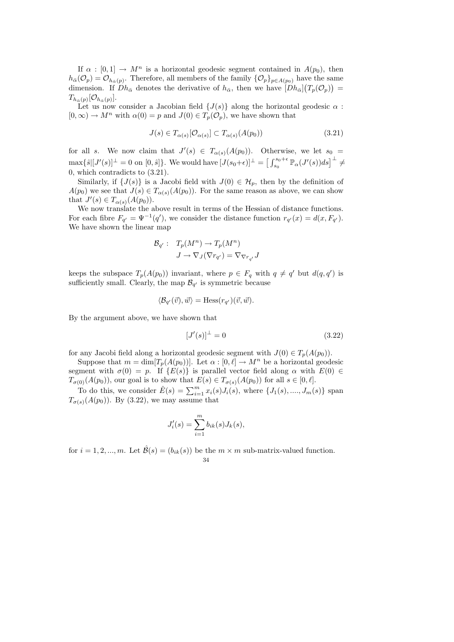If  $\alpha : [0, 1] \to M^n$  is a horizontal geodesic segment contained in  $A(p_0)$ , then  $h_{\bar{\alpha}}(\mathcal{O}_p) = \mathcal{O}_{h_{\bar{\alpha}}(p)}$ . Therefore, all members of the family  $\{\mathcal{O}_p\}_{p \in A(p_0)}$  have the same dimension. If  $\overline{D}h_{\bar{\alpha}}$  denotes the derivative of  $h_{\bar{\alpha}}$ , then we have  $\overline{[D}h_{\bar{\alpha}}](T_p(\mathcal{O}_p))$  =  $T_{h_{\bar{\alpha}}(p)}[\mathcal{O}_{h_{\bar{\alpha}}(p)}].$ 

Let us now consider a Jacobian field  $\{J(s)\}\$ along the horizontal geodesic  $\alpha$ :  $[0, \infty) \to M^n$  with  $\alpha(0) = p$  and  $J(0) \in T_p(\mathcal{O}_p)$ , we have shown that

$$
J(s) \in T_{\alpha(s)}[\mathcal{O}_{\alpha(s)}] \subset T_{\alpha(s)}(A(p_0))
$$
\n(3.21)

for all s. We now claim that  $J'(s) \in T_{\alpha(s)}(A(p_0))$ . Otherwise, we let  $s_0 =$  $\max\{\hat{s}|[J'(s)]^{\perp} = 0 \text{ on } [0,\hat{s}]\}.$  We would have  $[J(s_0+\epsilon)]^{\perp} = \left[\int_{s_0}^{s_0+\epsilon} \mathbb{P}_{\alpha}(J'(s))ds\right]^{\perp} \neq$ 0, which contradicts to (3.21).

Similarly, if  $\{J(s)\}\$ is a Jacobi field with  $J(0) \in \mathcal{H}_p$ , then by the definition of  $A(p_0)$  we see that  $J(s) \in T_{\alpha(s)}(A(p_0))$ . For the same reason as above, we can show that  $J'(s) \in T_{\alpha(s)}(A(p_0)).$ 

We now translate the above result in terms of the Hessian of distance functions. For each fibre  $F_{q'} = \Psi^{-1}(q')$ , we consider the distance function  $r_{q'}(x) = d(x, F_{q'})$ . We have shown the linear map

$$
\mathcal{B}_{q'}: T_p(M^n) \to T_p(M^n)
$$

$$
J \to \nabla_J(\nabla r_{q'}) = \nabla_{\nabla r_{q'}} J
$$

keeps the subspace  $T_p(A(p_0))$  invariant, where  $p \in F_q$  with  $q \neq q'$  but  $d(q, q')$  is sufficiently small. Clearly, the map  $\mathcal{B}_{q'}$  is symmetric because

$$
\langle \mathcal{B}_{q'}(\vec{v}), \vec{w} \rangle = \text{Hess}(r_{q'}) (\vec{v}, \vec{w}).
$$

By the argument above, we have shown that

$$
[J'(s)]^{\perp} = 0 \tag{3.22}
$$

for any Jacobi field along a horizontal geodesic segment with  $J(0) \in T_p(A(p_0))$ .

Suppose that  $m = \dim[T_p(A(p_0))]$ . Let  $\alpha : [0, \ell] \to M^n$  be a horizontal geodesic segment with  $\sigma(0) = p$ . If  $\{E(s)\}\$ is parallel vector field along  $\alpha$  with  $E(0) \in$  $T_{\sigma(0)}(A(p_0))$ , our goal is to show that  $E(s) \in T_{\sigma(s)}(A(p_0))$  for all  $s \in [0, \ell]$ .

To do this, we consider  $\hat{E}(s) = \sum_{i=1}^{m} x_i(s) J_i(s)$ , where  $\{J_1(s), ..., J_m(s)\}$  span  $T_{\sigma(s)}(A(p_0))$ . By (3.22), we may assume that

$$
J'_{i}(s) = \sum_{i=1}^{m} b_{ik}(s) J_{k}(s),
$$

for  $i = 1, 2, ..., m$ . Let  $\hat{\mathcal{B}}(s) = (b_{ik}(s))$  be the  $m \times m$  sub-matrix-valued function.

$$
^{34}
$$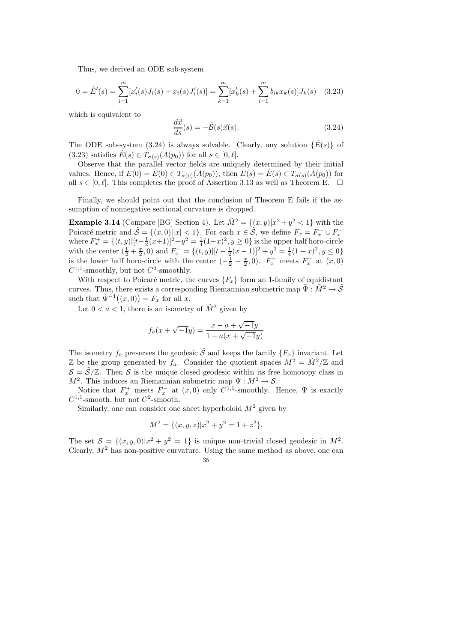Thus, we derived an ODE sub-system

$$
0 = \hat{E}'(s) = \sum_{i=1}^{m} [x'_i(s)J_i(s) + x_i(s)J'_i(s)] = \sum_{k=1}^{m} [x'_k(s) + \sum_{i=1}^{m} b_{ik}x_k(s)]J_k(s)
$$
(3.23)

which is equivalent to

$$
\frac{d\vec{x}}{ds}(s) = -\hat{\mathcal{B}}(s)\vec{x}(s). \tag{3.24}
$$

The ODE sub-system (3.24) is always solvable. Clearly, any solution  $\{\hat{E}(s)\}\$  of (3.23) satisfies  $\hat{E}(s) \in T_{\sigma(s)}(A(p_0))$  for all  $s \in [0, \ell].$ 

Observe that the parallel vector fields are uniquely determined by their initial values. Hence, if  $E(0) = \hat{E}(0) \in T_{\sigma(0)}(A(p_0))$ , then  $E(s) = \hat{E}(s) \in T_{\sigma(s)}(A(p_0))$  for all  $s \in [0, \ell]$ . This completes the proof of Assertion 3.13 as well as Theorem E.  $\Box$ 

Finally, we should point out that the conclusion of Theorem E fails if the assumption of nonnegative sectional curvature is dropped.

**Example 3.14** (Compare [BG] Section 4). Let  $\tilde{M}^2 = \{(x, y)|x^2 + y^2 < 1\}$  with the Poicaré metric and  $\tilde{S} = \{(x, 0) | |x| < 1\}$ . For each  $x \in \tilde{S}$ , we define  $F_x = F_x^+ \cup F_x^-$ <br>where  $F_x^+ = \{(t, y) | [t - \frac{1}{2}(x+1)]^2 + y^2 = \frac{1}{4}(1-x)^2, y \ge 0\}$  is the upper half horo-circle with the center  $(\frac{1}{2} + \frac{x}{2}, 0)$  and  $F_x^- = \{(t, y) | [t - \frac{1}{2}(x - 1)]^2 + y^2 = \frac{1}{4}(1 + x)^2, y \le 0\}$ is the lower half horo-circle with the center  $\left(-\frac{1}{2} + \frac{x}{2}, 0\right)$ .  $F_x^+$  meets  $F_x^-$  at  $(x, 0)$  $C^{1,1}$ -smoothly, but not  $C^2$ -smoothly.

With respect to Poicaré metric, the curves  ${F<sub>x</sub>}$  form an 1-family of equidistant curves. Thus, there exists a corresponding Riemannian submetric map  $\tilde{\Psi} : \tilde{M}^2 \to \tilde{\mathcal{S}}$ such that  $\tilde{\Psi}^{-1}((x,0)) = F_x$  for all x.

Let  $0 < a < 1$ , there is an isometry of  $\tilde{M}^2$  given by

$$
f_a(x + \sqrt{-1}y) = \frac{x - a + \sqrt{-1}y}{1 - a(x + \sqrt{-1}y)}
$$

The isometry  $f_a$  preserves the geodesic  $\tilde{S}$  and keeps the family  $\{F_x\}$  invariant. Let  $\mathbb Z$  be the group generated by  $f_a$ . Consider the quotient spaces  $M^2 = \tilde{M}^2/\mathbb Z$  and  $\mathcal{S} = \tilde{\mathcal{S}}/\mathbb{Z}$ . Then S is the unique closed geodesic within its free homotopy class in  $M^2$ . This induces an Riemannian submetric map  $\Psi : M^2 \to \mathcal{S}$ .

Notice that  $F_x^+$  meets  $F_x^-$  at  $(x, 0)$  only  $C^{1,1}$ -smoothly. Hence,  $\Psi$  is exactly  $C^{1,1}$ -smooth, but not  $C^2$ -smooth.

Similarly, one can consider one sheet hyperboloid  $M^2$  given by

$$
M^{2} = \{(x, y, z)|x^{2} + y^{2} = 1 + z^{2}\}.
$$

The set  $S = \{(x, y, 0)|x^2 + y^2 = 1\}$  is unique non-trivial closed geodesic in  $M^2$ . Clearly,  $M^2$  has non-positive curvature. Using the same method as above, one can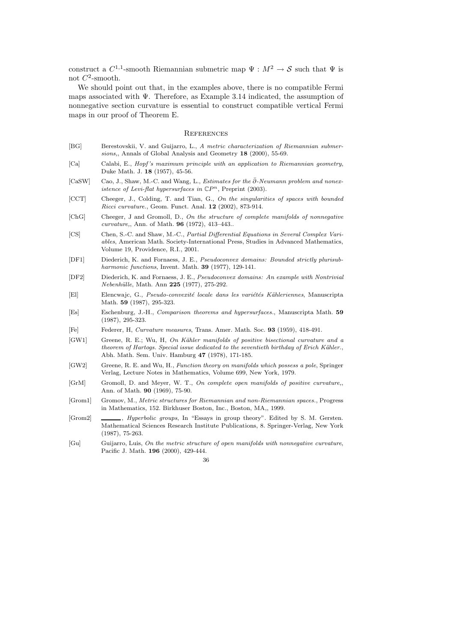construct a  $C^{1,1}$ -smooth Riemannian submetric map  $\Psi : M^2 \to \mathcal{S}$  such that  $\Psi$  is not  $C^2$ -smooth.

We should point out that, in the examples above, there is no compatible Fermi maps associated with  $\Psi$ . Therefore, as Example 3.14 indicated, the assumption of nonnegative section curvature is essential to construct compatible vertical Fermi maps in our proof of Theorem E.

#### **REFERENCES**

- [BG] Berestovskii, V. and Guijarro, L., A metric characterization of Riemannian submersions,, Annals of Global Analysis and Geometry **18** (2000), 55-69.
- [Ca] Calabi, E., Hopf 's maximum principle with an application to Riemannian geometry, Duke Math. J. **18** (1957), 45-56.
- [CaSW] Cao, J., Shaw, M.-C. and Wang, L., Estimates for the  $\bar{\partial}$ -Neumann problem and nonexistence of Levi-flat hypersurfaces in  $\mathbb{C}P^n$ , Preprint (2003).
- [CCT] Cheeger, J., Colding, T. and Tian, G., On the singularities of spaces with bounded Ricci curvature., Geom. Funct. Anal. **12** (2002), 873-914.
- [ChG] Cheeger, J and Gromoll, D., On the structure of complete manifolds of nonnegative curvature,, Ann. of Math. **96** (1972), 413–443..
- [CS] Chen, S.-C. and Shaw, M.-C., Partial Differential Equations in Several Complex Variables, American Math. Society-International Press, Studies in Advanced Mathematics, Volume 19, Providence, R.I., 2001.
- [DF1] Diederich, K. and Fornaess, J. E., Pseudoconvex domains: Bounded strictly plurisubharmonic functions, Invent. Math. **39** (1977), 129-141.
- [DF2] Diederich, K. and Fornaess, J. E., Pseudoconvex domains: An example with Nontrivial Nebenh¨ulle, Math. Ann **225** (1977), 275-292.
- [El] Elencwajc, G., Pseudo-convexité locale dans les variétés Kähleriennes, Manuscripta Math. **59** (1987), 295-323.
- [Es] Eschenburg, J.-H., Comparison theorems and hypersurfaces., Manuscripta Math. **59** (1987), 295-323.
- [Fe] Federer, H, Curvature measures, Trans. Amer. Math. Soc. **93** (1959), 418-491.
- [GW1] Greene, R. E.; Wu, H, On Kähler manifolds of positive bisectional curvature and a theorem of Hartogs. Special issue dedicated to the seventieth birthday of Erich Kähler., Abh. Math. Sem. Univ. Hamburg **47** (1978), 171-185.
- [GW2] Greene, R. E. and Wu, H., Function theory on manifolds which possess a pole, Springer Verlag, Lecture Notes in Mathematics, Volume 699, New York, 1979.
- [GrM] Gromoll, D. and Meyer, W. T., On complete open manifolds of positive curvature, Ann. of Math. **90** (1969), 75-90.
- [Grom1] Gromov, M., Metric structures for Riemannian and non-Riemannian spaces., Progress in Mathematics, 152. Birkhuser Boston, Inc., Boston, MA,, 1999.
- [Grom2] \_\_\_\_\_, Hyperbolic groups, In "Essays in group theory". Edited by S. M. Gersten. Mathematical Sciences Research Institute Publications, 8. Springer-Verlag, New York (1987), 75-263.
- [Gu] Guijarro, Luis, On the metric structure of open manifolds with nonnegative curvature, Pacific J. Math. **196** (2000), 429-444.